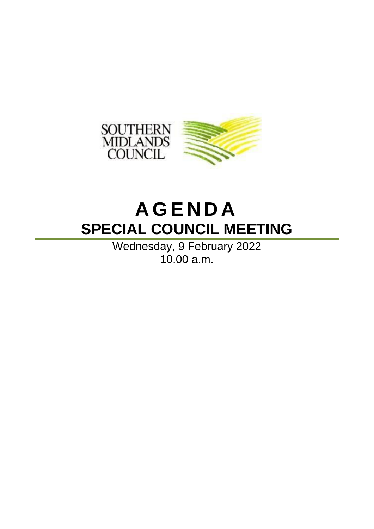

# **A G E N D A SPECIAL COUNCIL MEETING**

Wednesday, 9 February 2022 10.00 a.m.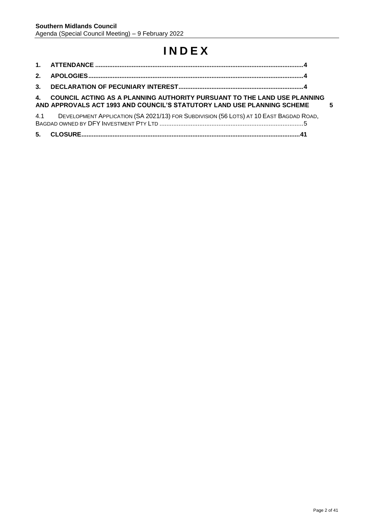# **I N D E X**

| 4. COUNCIL ACTING AS A PLANNING AUTHORITY PURSUANT TO THE LAND USE PLANNING<br>AND APPROVALS ACT 1993 AND COUNCIL'S STATUTORY LAND USE PLANNING SCHEME | -5 |
|--------------------------------------------------------------------------------------------------------------------------------------------------------|----|
| 4.1 DEVELOPMENT APPLICATION (SA 2021/13) FOR SUBDIVISION (56 LOTS) AT 10 EAST BAGDAD ROAD,                                                             |    |
|                                                                                                                                                        |    |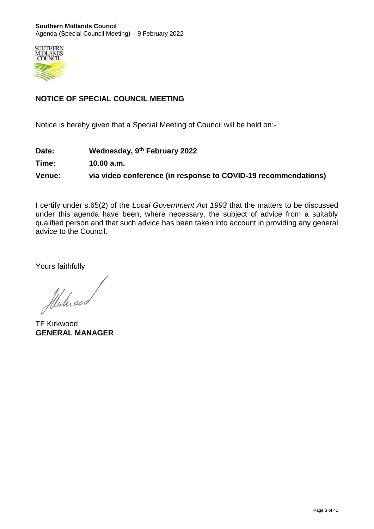

## **NOTICE OF SPECIAL COUNCIL MEETING**

Notice is hereby given that a Special Meeting of Council will be held on:-

**Date: Wednesday, 9th February 2022**

**Time: 10.00 a.m.**

**Venue: via video conference (in response to COVID-19 recommendations)**

I certify under s.65(2) of the *Local Government Act 1993* that the matters to be discussed under this agenda have been, where necessary, the subject of advice from a suitably qualified person and that such advice has been taken into account in providing any general advice to the Council.

Yours faithfully

Mulicod

TF Kirkwood **GENERAL MANAGER**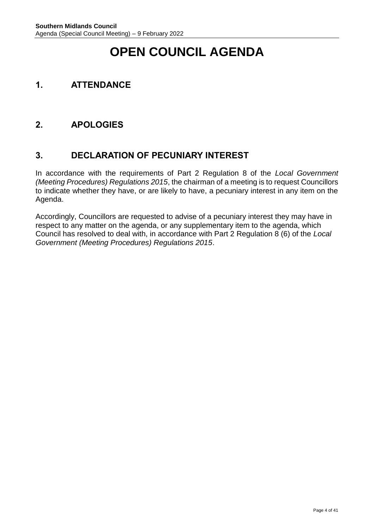# **OPEN COUNCIL AGENDA**

# <span id="page-3-0"></span>**1. ATTENDANCE**

# <span id="page-3-1"></span>**2. APOLOGIES**

## <span id="page-3-2"></span>**3. DECLARATION OF PECUNIARY INTEREST**

In accordance with the requirements of Part 2 Regulation 8 of the *Local Government (Meeting Procedures) Regulations 2015*, the chairman of a meeting is to request Councillors to indicate whether they have, or are likely to have, a pecuniary interest in any item on the Agenda.

Accordingly, Councillors are requested to advise of a pecuniary interest they may have in respect to any matter on the agenda, or any supplementary item to the agenda, which Council has resolved to deal with, in accordance with Part 2 Regulation 8 (6) of the *Local Government (Meeting Procedures) Regulations 2015*.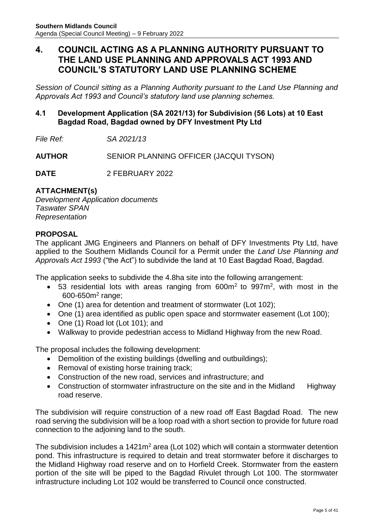## <span id="page-4-0"></span>**4. COUNCIL ACTING AS A PLANNING AUTHORITY PURSUANT TO THE LAND USE PLANNING AND APPROVALS ACT 1993 AND COUNCIL'S STATUTORY LAND USE PLANNING SCHEME**

*Session of Council sitting as a Planning Authority pursuant to the Land Use Planning and Approvals Act 1993 and Council's statutory land use planning schemes.*

## <span id="page-4-1"></span>**4.1 Development Application (SA 2021/13) for Subdivision (56 Lots) at 10 East Bagdad Road, Bagdad owned by DFY Investment Pty Ltd**

*File Ref: SA 2021/13*

**AUTHOR** SENIOR PLANNING OFFICER (JACQUI TYSON)

**DATE** 2 FEBRUARY 2022

## **ATTACHMENT(s)**

*Development Application documents Taswater SPAN Representation*

#### **PROPOSAL**

The applicant JMG Engineers and Planners on behalf of DFY Investments Pty Ltd, have applied to the Southern Midlands Council for a Permit under the *Land Use Planning and Approvals Act 1993* ("the Act") to subdivide the land at 10 East Bagdad Road, Bagdad.

The application seeks to subdivide the 4.8ha site into the following arrangement:

- 53 residential lots with areas ranging from  $600m^2$  to  $997m^2$ , with most in the 600-650m<sup>2</sup> range;
- One (1) area for detention and treatment of stormwater (Lot 102);
- One (1) area identified as public open space and stormwater easement (Lot 100);
- One (1) Road lot (Lot 101); and
- Walkway to provide pedestrian access to Midland Highway from the new Road.

The proposal includes the following development:

- Demolition of the existing buildings (dwelling and outbuildings);
- Removal of existing horse training track;
- Construction of the new road, services and infrastructure; and
- Construction of stormwater infrastructure on the site and in the Midland Highway road reserve.

The subdivision will require construction of a new road off East Bagdad Road. The new road serving the subdivision will be a loop road with a short section to provide for future road connection to the adjoining land to the south.

The subdivision includes a 1421m<sup>2</sup> area (Lot 102) which will contain a stormwater detention pond. This infrastructure is required to detain and treat stormwater before it discharges to the Midland Highway road reserve and on to Horfield Creek. Stormwater from the eastern portion of the site will be piped to the Bagdad Rivulet through Lot 100. The stormwater infrastructure including Lot 102 would be transferred to Council once constructed.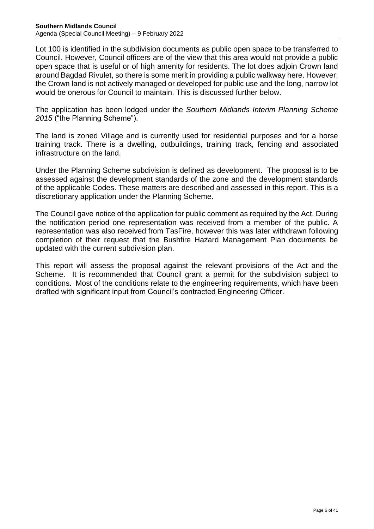Lot 100 is identified in the subdivision documents as public open space to be transferred to Council. However, Council officers are of the view that this area would not provide a public open space that is useful or of high amenity for residents. The lot does adjoin Crown land around Bagdad Rivulet, so there is some merit in providing a public walkway here. However, the Crown land is not actively managed or developed for public use and the long, narrow lot would be onerous for Council to maintain. This is discussed further below.

The application has been lodged under the *Southern Midlands Interim Planning Scheme 2015* ("the Planning Scheme").

The land is zoned Village and is currently used for residential purposes and for a horse training track. There is a dwelling, outbuildings, training track, fencing and associated infrastructure on the land.

Under the Planning Scheme subdivision is defined as development. The proposal is to be assessed against the development standards of the zone and the development standards of the applicable Codes. These matters are described and assessed in this report. This is a discretionary application under the Planning Scheme.

The Council gave notice of the application for public comment as required by the Act. During the notification period one representation was received from a member of the public. A representation was also received from TasFire, however this was later withdrawn following completion of their request that the Bushfire Hazard Management Plan documents be updated with the current subdivision plan.

This report will assess the proposal against the relevant provisions of the Act and the Scheme. It is recommended that Council grant a permit for the subdivision subject to conditions. Most of the conditions relate to the engineering requirements, which have been drafted with significant input from Council's contracted Engineering Officer.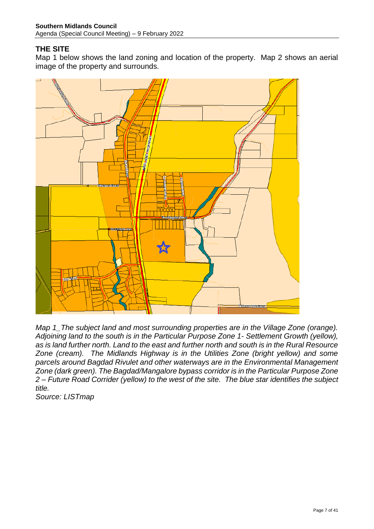## **THE SITE**

Map 1 below shows the land zoning and location of the property. Map 2 shows an aerial image of the property and surrounds.



*Map 1\_The subject land and most surrounding properties are in the Village Zone (orange). Adjoining land to the south is in the Particular Purpose Zone 1- Settlement Growth (yellow), as is land further north. Land to the east and further north and south is in the Rural Resource Zone (cream). The Midlands Highway is in the Utilities Zone (bright yellow) and some parcels around Bagdad Rivulet and other waterways are in the Environmental Management Zone (dark green). The Bagdad/Mangalore bypass corridor is in the Particular Purpose Zone 2 – Future Road Corrider (yellow) to the west of the site. The blue star identifies the subject title.* 

*Source: LISTmap*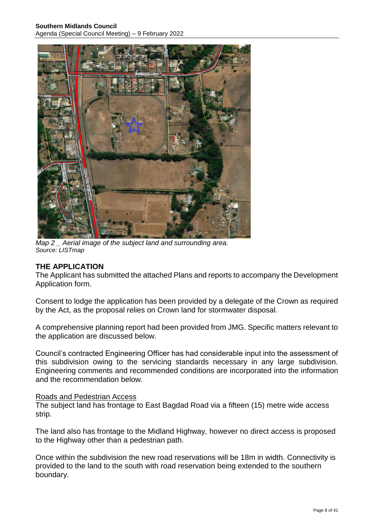#### **Southern Midlands Council**

Agenda (Special Council Meeting) – 9 February 2022



*Map 2 \_ Aerial image of the subject land and surrounding area. Source: LISTmap* 

#### **THE APPLICATION**

The Applicant has submitted the attached Plans and reports to accompany the Development Application form.

Consent to lodge the application has been provided by a delegate of the Crown as required by the Act, as the proposal relies on Crown land for stormwater disposal.

A comprehensive planning report had been provided from JMG. Specific matters relevant to the application are discussed below.

Council's contracted Engineering Officer has had considerable input into the assessment of this subdivision owing to the servicing standards necessary in any large subdivision. Engineering comments and recommended conditions are incorporated into the information and the recommendation below.

#### Roads and Pedestrian Access

The subject land has frontage to East Bagdad Road via a fifteen (15) metre wide access strip.

The land also has frontage to the Midland Highway, however no direct access is proposed to the Highway other than a pedestrian path.

Once within the subdivision the new road reservations will be 18m in width. Connectivity is provided to the land to the south with road reservation being extended to the southern boundary.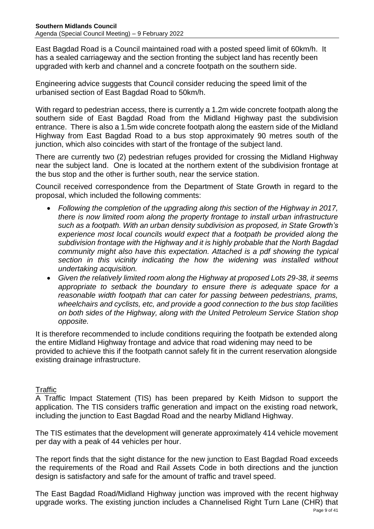East Bagdad Road is a Council maintained road with a posted speed limit of 60km/h. It has a sealed carriageway and the section fronting the subject land has recently been upgraded with kerb and channel and a concrete footpath on the southern side.

Engineering advice suggests that Council consider reducing the speed limit of the urbanised section of East Bagdad Road to 50km/h.

With regard to pedestrian access, there is currently a 1.2m wide concrete footpath along the southern side of East Bagdad Road from the Midland Highway past the subdivision entrance. There is also a 1.5m wide concrete footpath along the eastern side of the Midland Highway from East Bagdad Road to a bus stop approximately 90 metres south of the junction, which also coincides with start of the frontage of the subject land.

There are currently two (2) pedestrian refuges provided for crossing the Midland Highway near the subject land. One is located at the northern extent of the subdivision frontage at the bus stop and the other is further south, near the service station.

Council received correspondence from the Department of State Growth in regard to the proposal, which included the following comments:

- *Following the completion of the upgrading along this section of the Highway in 2017, there is now limited room along the property frontage to install urban infrastructure such as a footpath. With an urban density subdivision as proposed, in State Growth's experience most local councils would expect that a footpath be provided along the subdivision frontage with the Highway and it is highly probable that the North Bagdad community might also have this expectation. Attached is a pdf showing the typical section in this vicinity indicating the how the widening was installed without undertaking acquisition.*
- *Given the relatively limited room along the Highway at proposed Lots 29-38, it seems appropriate to setback the boundary to ensure there is adequate space for a reasonable width footpath that can cater for passing between pedestrians, prams, wheelchairs and cyclists, etc, and provide a good connection to the bus stop facilities on both sides of the Highway, along with the United Petroleum Service Station shop opposite.*

It is therefore recommended to include conditions requiring the footpath be extended along the entire Midland Highway frontage and advice that road widening may need to be provided to achieve this if the footpath cannot safely fit in the current reservation alongside existing drainage infrastructure.

## **Traffic**

A Traffic Impact Statement (TIS) has been prepared by Keith Midson to support the application. The TIS considers traffic generation and impact on the existing road network, including the junction to East Bagdad Road and the nearby Midland Highway.

The TIS estimates that the development will generate approximately 414 vehicle movement per day with a peak of 44 vehicles per hour.

The report finds that the sight distance for the new junction to East Bagdad Road exceeds the requirements of the Road and Rail Assets Code in both directions and the junction design is satisfactory and safe for the amount of traffic and travel speed.

The East Bagdad Road/Midland Highway junction was improved with the recent highway upgrade works. The existing junction includes a Channelised Right Turn Lane (CHR) that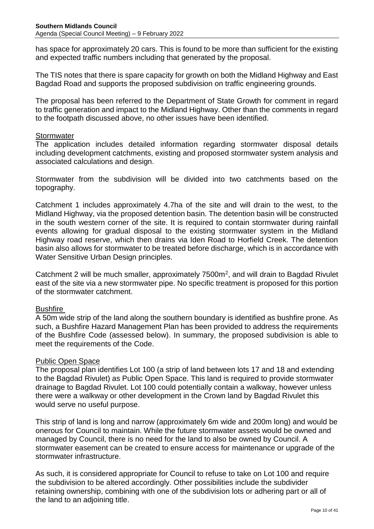has space for approximately 20 cars. This is found to be more than sufficient for the existing and expected traffic numbers including that generated by the proposal.

The TIS notes that there is spare capacity for growth on both the Midland Highway and East Bagdad Road and supports the proposed subdivision on traffic engineering grounds.

The proposal has been referred to the Department of State Growth for comment in regard to traffic generation and impact to the Midland Highway. Other than the comments in regard to the footpath discussed above, no other issues have been identified.

## **Stormwater**

The application includes detailed information regarding stormwater disposal details including development catchments, existing and proposed stormwater system analysis and associated calculations and design.

Stormwater from the subdivision will be divided into two catchments based on the topography.

Catchment 1 includes approximately 4.7ha of the site and will drain to the west, to the Midland Highway, via the proposed detention basin. The detention basin will be constructed in the south western corner of the site. It is required to contain stormwater during rainfall events allowing for gradual disposal to the existing stormwater system in the Midland Highway road reserve, which then drains via Iden Road to Horfield Creek. The detention basin also allows for stormwater to be treated before discharge, which is in accordance with Water Sensitive Urban Design principles.

Catchment 2 will be much smaller, approximately 7500m<sup>2</sup>, and will drain to Bagdad Rivulet east of the site via a new stormwater pipe. No specific treatment is proposed for this portion of the stormwater catchment.

## **Bushfire**

A 50m wide strip of the land along the southern boundary is identified as bushfire prone. As such, a Bushfire Hazard Management Plan has been provided to address the requirements of the Bushfire Code (assessed below). In summary, the proposed subdivision is able to meet the requirements of the Code.

## Public Open Space

The proposal plan identifies Lot 100 (a strip of land between lots 17 and 18 and extending to the Bagdad Rivulet) as Public Open Space. This land is required to provide stormwater drainage to Bagdad Rivulet. Lot 100 could potentially contain a walkway, however unless there were a walkway or other development in the Crown land by Bagdad Rivulet this would serve no useful purpose.

This strip of land is long and narrow (approximately 6m wide and 200m long) and would be onerous for Council to maintain. While the future stormwater assets would be owned and managed by Council, there is no need for the land to also be owned by Council. A stormwater easement can be created to ensure access for maintenance or upgrade of the stormwater infrastructure.

As such, it is considered appropriate for Council to refuse to take on Lot 100 and require the subdivision to be altered accordingly. Other possibilities include the subdivider retaining ownership, combining with one of the subdivision lots or adhering part or all of the land to an adjoining title.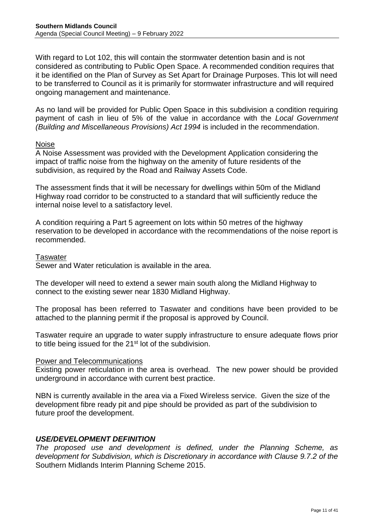With regard to Lot 102, this will contain the stormwater detention basin and is not considered as contributing to Public Open Space. A recommended condition requires that it be identified on the Plan of Survey as Set Apart for Drainage Purposes. This lot will need to be transferred to Council as it is primarily for stormwater infrastructure and will required ongoing management and maintenance.

As no land will be provided for Public Open Space in this subdivision a condition requiring payment of cash in lieu of 5% of the value in accordance with the *Local Government (Building and Miscellaneous Provisions) Act 1994* is included in the recommendation.

#### Noise

A Noise Assessment was provided with the Development Application considering the impact of traffic noise from the highway on the amenity of future residents of the subdivision, as required by the Road and Railway Assets Code.

The assessment finds that it will be necessary for dwellings within 50m of the Midland Highway road corridor to be constructed to a standard that will sufficiently reduce the internal noise level to a satisfactory level.

A condition requiring a Part 5 agreement on lots within 50 metres of the highway reservation to be developed in accordance with the recommendations of the noise report is recommended.

#### **Taswater**

Sewer and Water reticulation is available in the area.

The developer will need to extend a sewer main south along the Midland Highway to connect to the existing sewer near 1830 Midland Highway.

The proposal has been referred to Taswater and conditions have been provided to be attached to the planning permit if the proposal is approved by Council.

Taswater require an upgrade to water supply infrastructure to ensure adequate flows prior to title being issued for the 21<sup>st</sup> lot of the subdivision.

#### Power and Telecommunications

Existing power reticulation in the area is overhead. The new power should be provided underground in accordance with current best practice.

NBN is currently available in the area via a Fixed Wireless service. Given the size of the development fibre ready pit and pipe should be provided as part of the subdivision to future proof the development.

#### *USE/DEVELOPMENT DEFINITION*

*The proposed use and development is defined, under the Planning Scheme, as development for Subdivision, which is Discretionary in accordance with Clause 9.7.2 of the*  Southern Midlands Interim Planning Scheme 2015.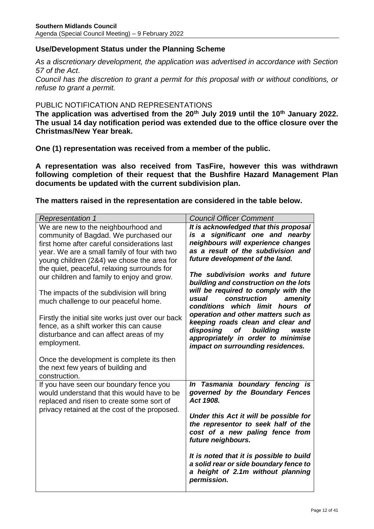## **Use/Development Status under the Planning Scheme**

*As a discretionary development, the application was advertised in accordance with Section 57 of the Act*.

*Council has the discretion to grant a permit for this proposal with or without conditions, or refuse to grant a permit.*

## PUBLIC NOTIFICATION AND REPRESENTATIONS

**The application was advertised from the 20th July 2019 until the 10th January 2022. The usual 14 day notification period was extended due to the office closure over the Christmas/New Year break.**

**One (1) representation was received from a member of the public.** 

**A representation was also received from TasFire, however this was withdrawn following completion of their request that the Bushfire Hazard Management Plan documents be updated with the current subdivision plan.**

**The matters raised in the representation are considered in the table below.** 

| <b>Representation 1</b>                                                                                                                                                                                                                                                   | <b>Council Officer Comment</b>                                                                                                                                                              |
|---------------------------------------------------------------------------------------------------------------------------------------------------------------------------------------------------------------------------------------------------------------------------|---------------------------------------------------------------------------------------------------------------------------------------------------------------------------------------------|
| We are new to the neighbourhood and<br>community of Bagdad. We purchased our<br>first home after careful considerations last<br>year. We are a small family of four with two<br>young children (2&4) we chose the area for<br>the quiet, peaceful, relaxing surrounds for | It is acknowledged that this proposal<br>is a significant one and nearby<br>neighbours will experience changes<br>as a result of the subdivision and<br>future development of the land.     |
| our children and family to enjoy and grow.<br>The impacts of the subdivision will bring<br>much challenge to our peaceful home.                                                                                                                                           | The subdivision works and future<br>building and construction on the lots<br>will be required to comply with the<br>construction<br>usual<br>amenity<br>conditions<br>which limit hours of  |
| Firstly the initial site works just over our back<br>fence, as a shift worker this can cause<br>disturbance and can affect areas of my<br>employment.                                                                                                                     | operation and other matters such as<br>keeping roads clean and clear and<br>disposing<br>building<br>of<br>waste<br>appropriately in order to minimise<br>impact on surrounding residences. |
| Once the development is complete its then<br>the next few years of building and<br>construction.                                                                                                                                                                          |                                                                                                                                                                                             |
| If you have seen our boundary fence you<br>would understand that this would have to be<br>replaced and risen to create some sort of<br>privacy retained at the cost of the proposed.                                                                                      | Tasmania boundary fencing is<br>In<br>governed by the Boundary Fences<br>Act 1908.                                                                                                          |
|                                                                                                                                                                                                                                                                           | Under this Act it will be possible for<br>the representor to seek half of the<br>cost of a new paling fence from<br>future neighbours.                                                      |
|                                                                                                                                                                                                                                                                           | It is noted that it is possible to build<br>a solid rear or side boundary fence to<br>a height of 2.1m without planning<br>permission.                                                      |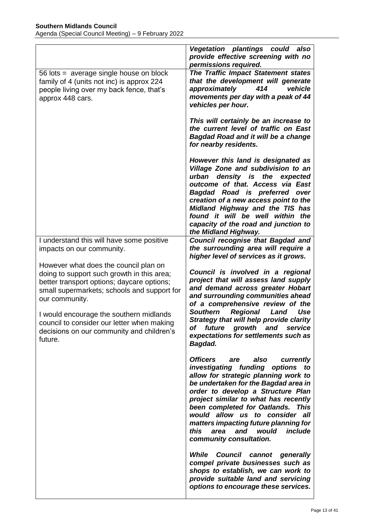|                                                                                                                                                                                                                                                                                                                                                     | <b>Vegetation plantings could</b><br>also<br>provide effective screening with no<br>permissions required.                                                                                                                                                                                                                                                                                                                                                                                                                                       |
|-----------------------------------------------------------------------------------------------------------------------------------------------------------------------------------------------------------------------------------------------------------------------------------------------------------------------------------------------------|-------------------------------------------------------------------------------------------------------------------------------------------------------------------------------------------------------------------------------------------------------------------------------------------------------------------------------------------------------------------------------------------------------------------------------------------------------------------------------------------------------------------------------------------------|
| 56 lots = average single house on block<br>family of 4 (units not inc) is approx 224<br>people living over my back fence, that's<br>approx 448 cars.                                                                                                                                                                                                | <b>The Traffic Impact Statement states</b><br>that the development will generate<br>approximately<br>414<br>vehicle<br>movements per day with a peak of 44<br>vehicles per hour.                                                                                                                                                                                                                                                                                                                                                                |
|                                                                                                                                                                                                                                                                                                                                                     | This will certainly be an increase to<br>the current level of traffic on East<br><b>Bagdad Road and it will be a change</b><br>for nearby residents.                                                                                                                                                                                                                                                                                                                                                                                            |
|                                                                                                                                                                                                                                                                                                                                                     | However this land is designated as<br>Village Zone and subdivision to an<br>urban density is the expected<br>outcome of that. Access via East<br>Bagdad Road is preferred over<br>creation of a new access point to the<br>Midland Highway and the TIS has<br>found it will be well within the<br>capacity of the road and junction to<br>the Midland Highway.                                                                                                                                                                                  |
| I understand this will have some positive<br>impacts on our community.                                                                                                                                                                                                                                                                              | <b>Council recognise that Bagdad and</b><br>the surrounding area will require a<br>higher level of services as it grows.                                                                                                                                                                                                                                                                                                                                                                                                                        |
| However what does the council plan on<br>doing to support such growth in this area;<br>better transport options; daycare options;<br>small supermarkets; schools and support for<br>our community.<br>I would encourage the southern midlands<br>council to consider our letter when making<br>decisions on our community and children's<br>future. | Council is involved in a regional<br>project that will assess land supply<br>and demand across greater Hobart<br>and surrounding communities ahead<br>of a comprehensive review of the<br><b>Regional</b><br><b>Southern</b><br>Land<br>Use<br>Strategy that will help provide clarity<br>Оt<br>future<br>growth and<br>service<br>expectations for settlements such as<br>Bagdad.                                                                                                                                                              |
|                                                                                                                                                                                                                                                                                                                                                     | <b>Officers</b><br>are<br>also<br>currently<br>investigating funding options to<br>allow for strategic planning work to<br>be undertaken for the Bagdad area in<br>order to develop a Structure Plan<br>project similar to what has recently<br>been completed for Oatlands. This<br>would allow us to consider all<br>matters impacting future planning for<br>include<br>this<br>area<br>and<br>would<br>community consultation.<br>While Council cannot generally<br>compel private businesses such as<br>shops to establish, we can work to |
|                                                                                                                                                                                                                                                                                                                                                     | provide suitable land and servicing<br>options to encourage these services.                                                                                                                                                                                                                                                                                                                                                                                                                                                                     |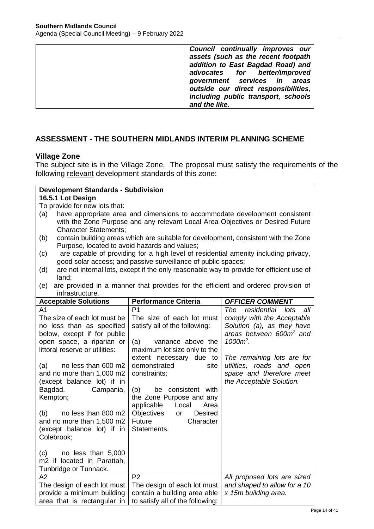| Council continually improves our<br>assets (such as the recent footpath |
|-------------------------------------------------------------------------|
| addition to East Bagdad Road) and                                       |
| advocates for better/improved                                           |
| government services in areas<br>outside our direct responsibilities,    |
| including public transport, schools                                     |
| and the like.                                                           |

## **ASSESSMENT - THE SOUTHERN MIDLANDS INTERIM PLANNING SCHEME**

## **Village Zone**

The subject site is in the Village Zone. The proposal must satisfy the requirements of the following relevant development standards of this zone:

## **Development Standards - Subdivision**

## **16.5.1 Lot Design**

To provide for new lots that:

- (a) have appropriate area and dimensions to accommodate development consistent with the Zone Purpose and any relevant Local Area Objectives or Desired Future Character Statements;
- (b) contain building areas which are suitable for development, consistent with the Zone Purpose, located to avoid hazards and values;
- (c) are capable of providing for a high level of residential amenity including privacy, good solar access; and passive surveillance of public spaces;
- (d) are not internal lots, except if the only reasonable way to provide for efficient use of land;
- (e) are provided in a manner that provides for the efficient and ordered provision of infrastructure.

| <b>Acceptable Solutions</b>    | <b>Performance Criteria</b>               | <b>OFFICER COMMENT</b>              |
|--------------------------------|-------------------------------------------|-------------------------------------|
| A1                             | P <sub>1</sub>                            | The<br>residential lots<br>all      |
| The size of each lot must be   | The size of each lot must                 | comply with the Acceptable          |
| no less than as specified      | satisfy all of the following:             | Solution (a), as they have          |
| below, except if for public    |                                           | areas between 600m <sup>2</sup> and |
| open space, a riparian or      | (a)<br>variance above the                 | $1000m^2$ .                         |
| littoral reserve or utilities: | maximum lot size only to the              |                                     |
|                                | extent necessary due to                   | The remaining lots are for          |
| (a)<br>no less than 600 m2     | demonstrated<br>site                      | utilities, roads and open           |
| and no more than 1,000 m2      | constraints;                              | space and therefore meet            |
| (except balance lot) if in     |                                           | the Acceptable Solution.            |
| Bagdad,<br>Campania,           | be consistent with<br>(b)                 |                                     |
| Kempton;                       | the Zone Purpose and any                  |                                     |
|                                | applicable<br>Local<br>Area               |                                     |
| (b)<br>no less than 800 m2     | Objectives<br><b>Desired</b><br><b>or</b> |                                     |
| and no more than 1,500 m2      | Future<br>Character                       |                                     |
| (except balance lot) if in     | Statements.                               |                                     |
| Colebrook;                     |                                           |                                     |
|                                |                                           |                                     |
| (c)<br>no less than 5,000      |                                           |                                     |
| m2 if located in Parattah,     |                                           |                                     |
| Tunbridge or Tunnack.          |                                           |                                     |
| A2                             | P <sub>2</sub>                            | All proposed lots are sized         |
| The design of each lot must    | The design of each lot must               | and shaped to allow for a 10        |
| provide a minimum building     | contain a building area able              | x 15m building area.                |
| area that is rectangular in    | to satisfy all of the following:          |                                     |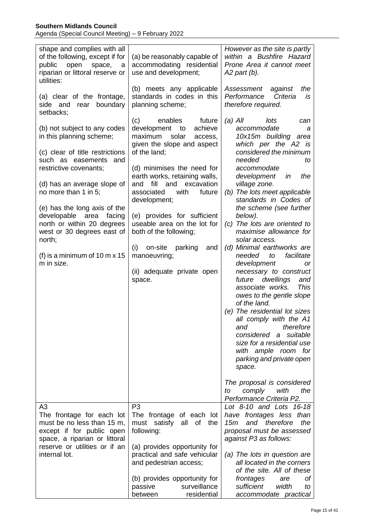| shape and complies with all<br>of the following, except if for<br>open<br>public<br>space,<br>a<br>riparian or littoral reserve or<br>utilities: | (a) be reasonably capable of<br>accommodating residential<br>use and development;                                                  | However as the site is partly<br>within a Bushfire Hazard<br>Prone Area it cannot meet<br>A2 part (b).                                                     |  |  |
|--------------------------------------------------------------------------------------------------------------------------------------------------|------------------------------------------------------------------------------------------------------------------------------------|------------------------------------------------------------------------------------------------------------------------------------------------------------|--|--|
| (a) clear of the frontage,<br>boundary<br>side and<br>rear<br>setbacks;                                                                          | (b) meets any applicable<br>standards in codes in this<br>planning scheme;                                                         | Assessment<br>against<br>the<br>Criteria<br>Performance<br>is<br>therefore required.                                                                       |  |  |
| (b) not subject to any codes<br>in this planning scheme;<br>(c) clear of title restrictions                                                      | (c)<br>enables<br>future<br>development to<br>achieve<br>maximum<br>solar<br>access,<br>given the slope and aspect<br>of the land; | $(a)$ All<br>lots<br>can<br>accommodate<br>а<br>10x15m building area<br>which per the A2 is<br>considered the minimum                                      |  |  |
| such as easements and<br>restrictive covenants;                                                                                                  | (d) minimises the need for<br>earth works, retaining walls,                                                                        | needed<br>to<br>accommodate<br>development<br>the<br>in                                                                                                    |  |  |
| (d) has an average slope of<br>no more than 1 in 5;                                                                                              | fill<br>and<br>excavation<br>and<br>with<br>associated<br>future<br>development;                                                   | village zone.<br>(b) The lots meet applicable<br>standards in Codes of                                                                                     |  |  |
| (e) has the long axis of the<br>developable<br>facing<br>area<br>north or within 20 degrees<br>west or 30 degrees east of<br>north;              | (e) provides for sufficient<br>useable area on the lot for<br>both of the following;                                               | the scheme (see further<br>below).<br>The lots are oriented to<br>(c)<br>maximise allowance for<br>solar access.                                           |  |  |
| (f) is a minimum of $10 \text{ m} \times 15$<br>m in size.                                                                                       | parking<br>(i)<br>on-site<br>and<br>manoeuvring;<br>(ii) adequate private open<br>space.                                           | (d) Minimal earthworks are<br>facilitate<br>needed<br>to<br>development<br>or<br>necessary to construct<br>future dwellings<br>and                         |  |  |
|                                                                                                                                                  |                                                                                                                                    | associate works.<br><b>This</b><br>owes to the gentle slope<br>of the land.<br>(e) The residential lot sizes<br>all comply with the A1<br>therefore<br>and |  |  |
|                                                                                                                                                  |                                                                                                                                    | considered<br>a suitable<br>size for a residential use<br>with ample room for<br>parking and private open<br>space.                                        |  |  |
|                                                                                                                                                  |                                                                                                                                    | The proposal is considered<br>comply<br>with<br>the<br>to<br>Performance Criteria P2.                                                                      |  |  |
| A3<br>The frontage for each lot<br>must be no less than 15 m,<br>except if for public open<br>space, a riparian or littoral                      | P <sub>3</sub><br>The frontage of each lot<br>all<br>must satisfy<br>of the<br>following:                                          | Lot 8-10 and Lots 16-18<br>have frontages less than<br>and therefore<br>15m<br>the<br>proposal must be assessed<br>against P3 as follows:                  |  |  |
| reserve or utilities or if an<br>internal lot.                                                                                                   | (a) provides opportunity for<br>practical and safe vehicular<br>and pedestrian access;                                             | (a) The lots in question are<br>all located in the corners<br>of the site. All of these                                                                    |  |  |
|                                                                                                                                                  | (b) provides opportunity for<br>surveillance<br>passive<br>residential<br>between                                                  | frontages<br>оf<br>are<br>sufficient<br>width<br>to<br>accommodate practical                                                                               |  |  |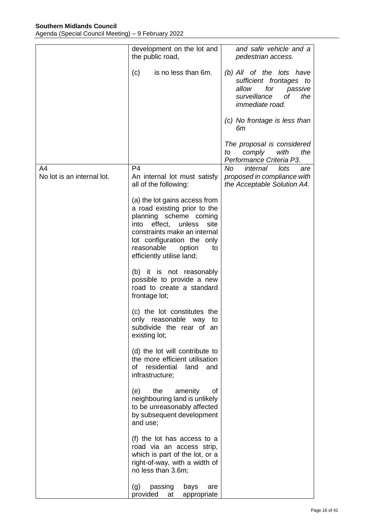|                                  | development on the lot and<br>the public road,                                                                                                                                                                                                        | and safe vehicle and a<br>pedestrian access.                                                                                                                         |  |  |  |
|----------------------------------|-------------------------------------------------------------------------------------------------------------------------------------------------------------------------------------------------------------------------------------------------------|----------------------------------------------------------------------------------------------------------------------------------------------------------------------|--|--|--|
|                                  | is no less than 6m.<br>(c)                                                                                                                                                                                                                            | (b) All of the lots have<br>sufficient frontages to<br>for<br>allow<br>passive<br>surveillance<br>оf<br>the<br>immediate road.<br>(c) No frontage is less than<br>6m |  |  |  |
|                                  |                                                                                                                                                                                                                                                       | The proposal is considered<br>with<br>the<br>to<br>comply<br>Performance Criteria P3.                                                                                |  |  |  |
| A4<br>No lot is an internal lot. | P <sub>4</sub><br>An internal lot must satisfy<br>all of the following:                                                                                                                                                                               | No<br>internal<br>lots<br>are<br>proposed in compliance with<br>the Acceptable Solution A4.                                                                          |  |  |  |
|                                  | (a) the lot gains access from<br>a road existing prior to the<br>planning scheme coming<br>effect,<br>unless<br>site<br>into<br>constraints make an internal<br>lot configuration the only<br>reasonable<br>option<br>to<br>efficiently utilise land; |                                                                                                                                                                      |  |  |  |
|                                  | (b) it is not reasonably<br>possible to provide a new<br>road to create a standard<br>frontage lot;                                                                                                                                                   |                                                                                                                                                                      |  |  |  |
|                                  | (c) the lot constitutes the<br>only reasonable way<br>to<br>subdivide the rear of an<br>existing lot;                                                                                                                                                 |                                                                                                                                                                      |  |  |  |
|                                  | (d) the lot will contribute to<br>the more efficient utilisation<br>residential<br>of<br>land<br>and<br>infrastructure;                                                                                                                               |                                                                                                                                                                      |  |  |  |
|                                  | the<br>(e)<br>amenity<br>οf<br>neighbouring land is unlikely<br>to be unreasonably affected<br>by subsequent development<br>and use;                                                                                                                  |                                                                                                                                                                      |  |  |  |
|                                  | (f) the lot has access to a<br>road via an access strip,<br>which is part of the lot, or a<br>right-of-way, with a width of<br>no less than 3.6m;                                                                                                     |                                                                                                                                                                      |  |  |  |
|                                  | (g)<br>passing<br>bays<br>are<br>provided<br>appropriate<br>at                                                                                                                                                                                        |                                                                                                                                                                      |  |  |  |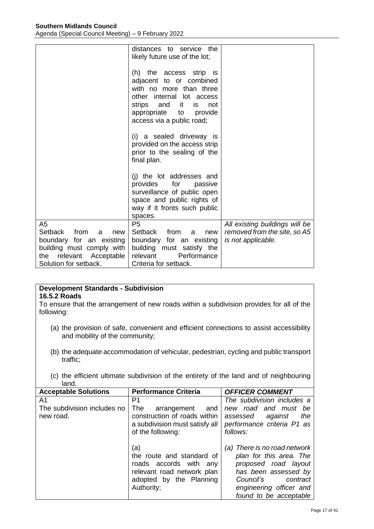|                                                            | distances to service the<br>likely future use of the lot;                                                                                                                                           |                                |
|------------------------------------------------------------|-----------------------------------------------------------------------------------------------------------------------------------------------------------------------------------------------------|--------------------------------|
|                                                            | (h) the access strip is<br>adjacent to or combined<br>with no more than three<br>other internal lot access<br>strips and it<br>is.<br>not<br>appropriate to<br>provide<br>access via a public road; |                                |
|                                                            | (i) a sealed driveway is<br>provided on the access strip<br>prior to the sealing of the<br>final plan.                                                                                              |                                |
|                                                            | (i) the lot addresses and<br>provides for<br>passive<br>surveillance of public open<br>space and public rights of<br>way if it fronts such public<br>spaces.                                        |                                |
| A <sub>5</sub>                                             | P <sub>5</sub>                                                                                                                                                                                      | All existing buildings will be |
| Setback<br>from<br>a<br>new                                | Setback from<br>new<br>a                                                                                                                                                                            | removed from the site, so A5   |
| boundary for an existing                                   | boundary for an existing                                                                                                                                                                            | is not applicable.             |
| building must comply with<br>relevant<br>Acceptable<br>the | building must satisfy the<br>relevant<br>Performance                                                                                                                                                |                                |
| Solution for setback.                                      | Criteria for setback.                                                                                                                                                                               |                                |

#### **Development Standards - Subdivision 16.5.2 Roads**

To ensure that the arrangement of new roads within a subdivision provides for all of the following:

- (a) the provision of safe, convenient and efficient connections to assist accessibility and mobility of the community;
- (b) the adequate accommodation of vehicular, pedestrian, cycling and public transport traffic;
- (c) the efficient ultimate subdivision of the entirety of the land and of neighbouring land.

| <b>Acceptable Solutions</b>              | <b>Performance Criteria</b>                                                                                                       | <b>OFFICER COMMENT</b>                                                                                                                                                                |
|------------------------------------------|-----------------------------------------------------------------------------------------------------------------------------------|---------------------------------------------------------------------------------------------------------------------------------------------------------------------------------------|
| A1                                       | P1                                                                                                                                | The subdivision includes a                                                                                                                                                            |
| The subdivision includes no<br>new road. | The<br>arrangement<br>and<br>construction of roads within<br>a subdivision must satisfy all<br>of the following:                  | new road and must be<br>the<br>assessed<br>against<br>performance criteria P1 as<br>follows:                                                                                          |
|                                          | (a)<br>the route and standard of<br>roads accords with any<br>relevant road network plan<br>adopted by the Planning<br>Authority; | (a) There is no road network<br>plan for this area. The<br>proposed road layout<br>has been assessed by<br>Council's<br>contract<br>engineering officer and<br>found to be acceptable |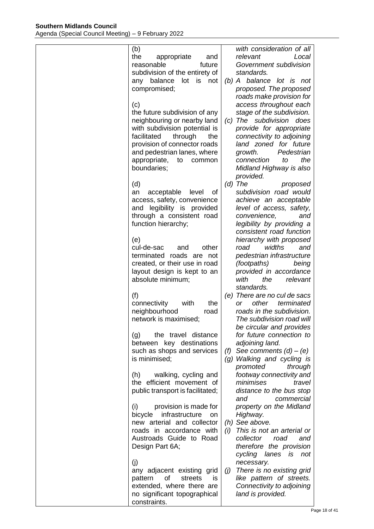| (b)<br>the<br>appropriate<br>and<br>reasonable<br>future<br>subdivision of the entirety of<br>lot is not<br>any balance<br>compromised;<br>(c)<br>the future subdivision of any<br>neighbouring or nearby land | with consideration of all<br>relevant<br>Local<br>Government subdivision<br>standards.<br>(b) A balance lot is not<br>proposed. The proposed<br>roads make provision for<br>access throughout each<br>stage of the subdivision.<br>(c) The subdivision<br>does |
|----------------------------------------------------------------------------------------------------------------------------------------------------------------------------------------------------------------|----------------------------------------------------------------------------------------------------------------------------------------------------------------------------------------------------------------------------------------------------------------|
| with subdivision potential is<br>facilitated<br>through<br>the<br>provision of connector roads<br>and pedestrian lanes, where<br>appropriate,<br>to<br>common<br>boundaries;<br>(d)                            | provide for appropriate<br>connectivity to adjoining<br>land zoned for future<br>growth.<br>Pedestrian<br>the<br>connection<br>to<br>Midland Highway is also<br>provided.<br>$(d)$ The<br>proposed                                                             |
| an<br>acceptable<br>level<br>οf<br>access, safety, convenience<br>and legibility is provided<br>through a consistent road<br>function hierarchy;<br>(e)                                                        | subdivision road would<br>achieve an acceptable<br>level of access, safety,<br>convenience,<br>and<br>legibility by providing a<br>consistent road function<br>hierarchy with proposed                                                                         |
| cul-de-sac<br>other<br>and<br>terminated roads are not<br>created, or their use in road<br>layout design is kept to an<br>absolute minimum;<br>(f)                                                             | widths<br>road<br>and<br>pedestrian infrastructure<br>(footpaths)<br>being<br>provided in accordance<br>with<br>relevant<br>the<br>standards.<br>(e) There are no cul de sacs                                                                                  |
| connectivity<br>with<br>the<br>neighbourhood<br>road<br>network is maximised;<br>the travel distance<br>(g)<br>between key destinations<br>such as shops and services                                          | other<br>terminated<br>or<br>roads in the subdivision.<br>The subdivision road will<br>be circular and provides<br>for future connection to<br>adjoining land.<br>See comments $(d) - (e)$<br>(f)                                                              |
| is minimised:<br>walking, cycling and<br>(h)<br>the efficient movement of<br>public transport is facilitated;<br>(i)<br>provision is made for                                                                  | (g) Walking and cycling is<br>promoted<br>through<br>footway connectivity and<br>minimises<br>travel<br>distance to the bus stop<br>and<br>commercial<br>property on the Midland                                                                               |
| infrastructure<br>bicycle<br>on<br>new arterial and collector<br>roads in accordance with<br>Austroads Guide to Road<br>Design Part 6A;<br>(j)                                                                 | Highway.<br>(h) See above.<br>(i) This is not an arterial or<br>collector<br>road<br>and<br>therefore the provision<br>cycling lanes is not<br>necessary.                                                                                                      |
| any adjacent existing grid<br>of<br>streets<br>pattern<br><b>is</b><br>extended, where there are<br>no significant topographical<br>constraints.                                                               | There is no existing grid<br>(j)<br>like pattern of streets.<br>Connectivity to adjoining<br>land is provided.                                                                                                                                                 |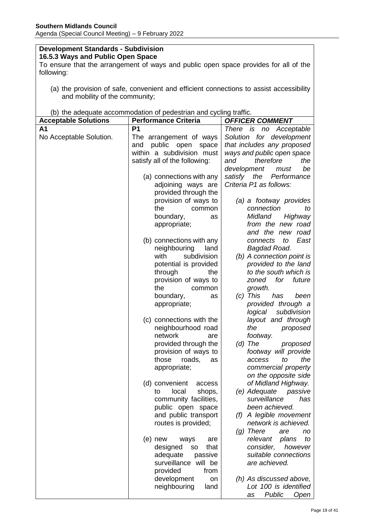#### **Development Standards - Subdivision 16.5.3 Ways and Public Open Space**

To ensure that the arrangement of ways and public open space provides for all of the following:

(a) the provision of safe, convenient and efficient connections to assist accessibility and mobility of the community;

|  |  |  | (b) the adequate accommodation of pedestrian and cycling traffic. |  |  |
|--|--|--|-------------------------------------------------------------------|--|--|
|  |  |  |                                                                   |  |  |

|                             | (b) the adequate accommodation or pedestrian and eyeling trains. |                              |
|-----------------------------|------------------------------------------------------------------|------------------------------|
| <b>Acceptable Solutions</b> | <b>Performance Criteria</b>                                      | <b>OFFICER COMMENT</b>       |
| A1                          | P <sub>1</sub>                                                   | There is<br>Acceptable<br>no |
| No Acceptable Solution.     | The arrangement of ways                                          | Solution for development     |
|                             | public<br>and<br>open<br>space                                   | that includes any proposed   |
|                             | within a subdivision must                                        | ways and public open space   |
|                             | satisfy all of the following:                                    | therefore<br>and<br>the      |
|                             |                                                                  | development<br>be<br>must    |
|                             | (a) connections with any                                         | satisfy the<br>Performance   |
|                             | adjoining ways are                                               | Criteria P1 as follows:      |
|                             | provided through the                                             |                              |
|                             |                                                                  |                              |
|                             | provision of ways to                                             | (a) a footway provides       |
|                             | the<br>common                                                    | connection<br>to             |
|                             | boundary,<br>as                                                  | Midland<br>Highway           |
|                             | appropriate;                                                     | from the new road            |
|                             |                                                                  | and the new road             |
|                             | (b) connections with any                                         | connects<br>East<br>to       |
|                             | neighbouring<br>land                                             | Bagdad Road.                 |
|                             | with<br>subdivision                                              | (b) A connection point is    |
|                             | potential is provided                                            | provided to the land         |
|                             | through<br>the                                                   | to the south which is        |
|                             | provision of ways to                                             | future<br>for<br>zoned       |
|                             | the<br>common                                                    | growth.                      |
|                             | boundary,<br>as                                                  | $(c)$ This<br>has<br>been    |
|                             | appropriate;                                                     | provided through a           |
|                             |                                                                  | subdivision<br>logical       |
|                             | (c) connections with the                                         | layout and through           |
|                             | neighbourhood road                                               | the<br>proposed              |
|                             | network<br>are                                                   | footway.                     |
|                             | provided through the                                             | $(d)$ The                    |
|                             |                                                                  | proposed                     |
|                             | provision of ways to<br>roads.                                   | footway will provide         |
|                             | those<br>as                                                      | the<br>access<br>to          |
|                             | appropriate;                                                     | commercial property          |
|                             |                                                                  | on the opposite side         |
|                             | (d) convenient<br>access                                         | of Midland Highway.          |
|                             | local<br>shops,<br>to                                            | (e) Adequate<br>passive      |
|                             | community facilities,                                            | surveillance<br>has          |
|                             | public open space                                                | been achieved.               |
|                             | and public transport                                             | A legible movement<br>(f)    |
|                             | routes is provided;                                              | network is achieved.         |
|                             |                                                                  | $(g)$ There<br>are<br>no     |
|                             | $(e)$ new<br>ways<br>are                                         | relevant<br>plans<br>to      |
|                             | designed<br>that<br>SO                                           | consider,<br>however         |
|                             | adequate<br>passive                                              | suitable connections         |
|                             | surveillance will be                                             | are achieved.                |
|                             | provided<br>from                                                 |                              |
|                             | development<br>on                                                | (h) As discussed above,      |
|                             | neighbouring<br>land                                             | Lot 100 is identified        |
|                             |                                                                  |                              |
|                             |                                                                  | Public<br>Open<br>as         |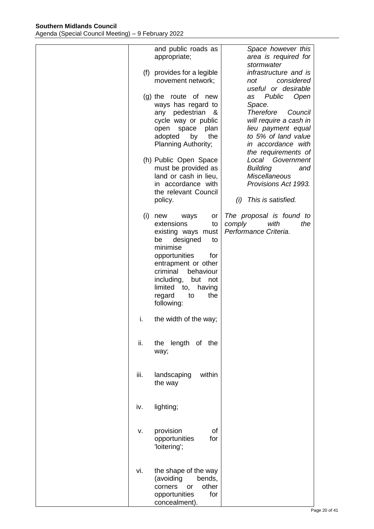|      | and public roads as<br>appropriate;                                                                                                                                                                                                                            | Space however this<br>area is required for                                                                                                                                                            |
|------|----------------------------------------------------------------------------------------------------------------------------------------------------------------------------------------------------------------------------------------------------------------|-------------------------------------------------------------------------------------------------------------------------------------------------------------------------------------------------------|
|      | (f) provides for a legible<br>movement network;                                                                                                                                                                                                                | stormwater<br>infrastructure and is<br>considered<br>not<br>useful or desirable                                                                                                                       |
|      | (g) the route of new<br>ways has regard to<br>pedestrian<br>any<br>&<br>cycle way or public<br>open<br>space<br>plan<br>adopted<br>by<br>the<br>Planning Authority;<br>(h) Public Open Space                                                                   | Public<br>Open<br>as<br>Space.<br><b>Therefore</b><br>Council<br>will require a cash in<br>lieu payment equal<br>to 5% of land value<br>in accordance with<br>the requirements of<br>Local Government |
|      | must be provided as<br>land or cash in lieu,<br>in accordance with<br>the relevant Council<br>policy.                                                                                                                                                          | <b>Building</b><br>and<br><b>Miscellaneous</b><br>Provisions Act 1993.<br>This is satisfied.<br>(i)                                                                                                   |
| (i)  | new<br>ways<br>or<br>extensions<br>to<br>existing ways must<br>be<br>designed<br>to<br>minimise<br>opportunities<br>for<br>entrapment or other<br>criminal<br>behaviour<br>including,<br>but not<br>limited to,<br>having<br>regard<br>to<br>the<br>following: | The proposal is found to<br>with<br>comply<br>the<br>Performance Criteria.                                                                                                                            |
| i.   | the width of the way;                                                                                                                                                                                                                                          |                                                                                                                                                                                                       |
| ii.  | the length of the<br>way;                                                                                                                                                                                                                                      |                                                                                                                                                                                                       |
| iii. | landscaping<br>within<br>the way                                                                                                                                                                                                                               |                                                                                                                                                                                                       |
| iv.  | lighting;                                                                                                                                                                                                                                                      |                                                                                                                                                                                                       |
| ٧.   | provision<br>οf<br>opportunities<br>for<br>'loitering';                                                                                                                                                                                                        |                                                                                                                                                                                                       |
| vi.  | the shape of the way<br>(avoiding<br>bends,<br>other<br>corners<br>or<br>opportunities<br>for<br>concealment).                                                                                                                                                 |                                                                                                                                                                                                       |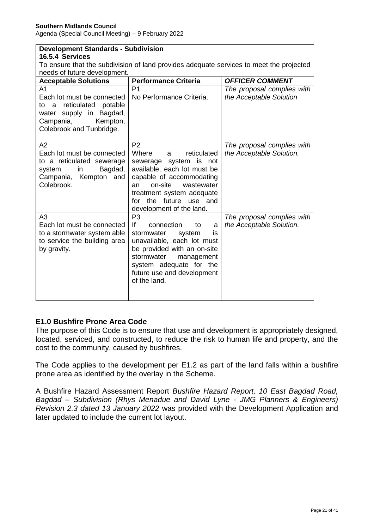| <b>Development Standards - Subdivision</b>                                                                                                                        |                                                                                                                                                                                                                                                          |                                                        |  |
|-------------------------------------------------------------------------------------------------------------------------------------------------------------------|----------------------------------------------------------------------------------------------------------------------------------------------------------------------------------------------------------------------------------------------------------|--------------------------------------------------------|--|
| 16.5.4 Services                                                                                                                                                   |                                                                                                                                                                                                                                                          |                                                        |  |
|                                                                                                                                                                   | To ensure that the subdivision of land provides adequate services to meet the projected                                                                                                                                                                  |                                                        |  |
| needs of future development.                                                                                                                                      |                                                                                                                                                                                                                                                          |                                                        |  |
| <b>Acceptable Solutions</b>                                                                                                                                       | <b>Performance Criteria</b>                                                                                                                                                                                                                              | <b>OFFICER COMMENT</b>                                 |  |
| A <sub>1</sub><br>Each lot must be connected<br>reticulated<br>potable<br>to a<br>water supply in<br>Bagdad,<br>Campania,<br>Kempton,<br>Colebrook and Tunbridge. | P <sub>1</sub><br>No Performance Criteria.                                                                                                                                                                                                               | The proposal complies with<br>the Acceptable Solution  |  |
| A2<br>Each lot must be connected<br>to a reticulated sewerage<br>Bagdad,<br>system<br>in<br>Campania, Kempton<br>and<br>Colebrook.                                | P <sub>2</sub><br>Where<br>reticulated<br>a<br>system is not<br>sewerage<br>available, each lot must be<br>capable of accommodating<br>on-site<br>wastewater<br>an<br>treatment system adequate<br>for<br>the future use and<br>development of the land. | The proposal complies with<br>the Acceptable Solution. |  |
| A <sub>3</sub><br>Each lot must be connected<br>to a stormwater system able<br>to service the building area<br>by gravity.                                        | P <sub>3</sub><br>If<br>connection<br>to<br>a<br>stormwater<br>system<br>is<br>unavailable, each lot must<br>be provided with an on-site<br>stormwater<br>management<br>system adequate for the<br>future use and development<br>of the land.            | The proposal complies with<br>the Acceptable Solution. |  |

## **E1.0 Bushfire Prone Area Code**

The purpose of this Code is to ensure that use and development is appropriately designed, located, serviced, and constructed, to reduce the risk to human life and property, and the cost to the community, caused by bushfires.

The Code applies to the development per E1.2 as part of the land falls within a bushfire prone area as identified by the overlay in the Scheme.

A Bushfire Hazard Assessment Report *Bushfire Hazard Report, 10 East Bagdad Road, Bagdad – Subdivision (Rhys Menadue and David Lyne - JMG Planners & Engineers) Revision 2.3 dated 13 January 2022* was provided with the Development Application and later updated to include the current lot layout.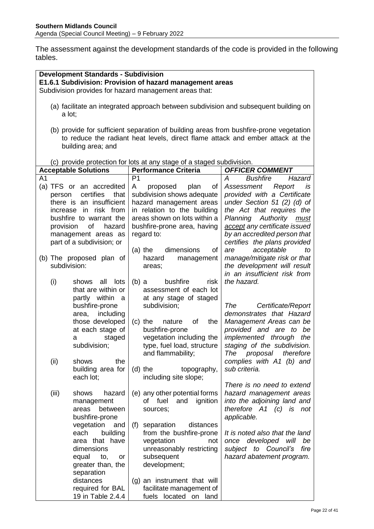The assessment against the development standards of the code is provided in the following tables.

| <b>Development Standards - Subdivision</b><br>E1.6.1 Subdivision: Provision of hazard management areas |                                 |                                                                                                                                                                          |                                                          |  |
|--------------------------------------------------------------------------------------------------------|---------------------------------|--------------------------------------------------------------------------------------------------------------------------------------------------------------------------|----------------------------------------------------------|--|
| Subdivision provides for hazard management areas that:                                                 |                                 |                                                                                                                                                                          |                                                          |  |
| (a) facilitate an integrated approach between subdivision and subsequent building on<br>a lot;         |                                 |                                                                                                                                                                          |                                                          |  |
|                                                                                                        | building area; and              | (b) provide for sufficient separation of building areas from bushfire-prone vegetation<br>to reduce the radiant heat levels, direct flame attack and ember attack at the |                                                          |  |
|                                                                                                        |                                 | (c) provide protection for lots at any stage of a staged subdivision.                                                                                                    |                                                          |  |
|                                                                                                        | <b>Acceptable Solutions</b>     | <b>Performance Criteria</b>                                                                                                                                              | <b>OFFICER COMMENT</b>                                   |  |
| A <sub>1</sub>                                                                                         |                                 | P <sub>1</sub>                                                                                                                                                           | <b>Bushfire</b><br>А<br>Hazard                           |  |
|                                                                                                        | (a) TFS or an accredited        | of<br>proposed<br>plan<br>A                                                                                                                                              | Assessment<br>Report<br>is                               |  |
| person                                                                                                 | certifies<br>that               | subdivision shows adequate                                                                                                                                               | provided with a Certificate                              |  |
|                                                                                                        | there is an insufficient        | hazard management areas                                                                                                                                                  | under Section 51 (2) (d) of                              |  |
| increase                                                                                               | risk from<br>in                 | in relation to the building                                                                                                                                              | the Act that requires the                                |  |
|                                                                                                        | bushfire to warrant the         | areas shown on lots within a                                                                                                                                             | Planning Authority<br>must                               |  |
| provision                                                                                              | of<br>hazard                    | bushfire-prone area, having                                                                                                                                              | accept any certificate issued                            |  |
|                                                                                                        | management areas as             | regard to:                                                                                                                                                               | by an accredited person that                             |  |
|                                                                                                        | part of a subdivision; or       | of                                                                                                                                                                       | certifies the plans provided                             |  |
|                                                                                                        | (b) The proposed plan of        | dimensions<br>$(a)$ the<br>hazard<br>management                                                                                                                          | acceptable<br>are<br>to<br>manage/mitigate risk or that  |  |
|                                                                                                        | subdivision:                    | areas;                                                                                                                                                                   | the development will result                              |  |
|                                                                                                        |                                 |                                                                                                                                                                          | in an insufficient risk from                             |  |
| (i)                                                                                                    | all<br>lots<br>shows            | bushfire<br>$(b)$ a<br>risk                                                                                                                                              | the hazard.                                              |  |
|                                                                                                        | that are within or              | assessment of each lot                                                                                                                                                   |                                                          |  |
|                                                                                                        | partly within a                 | at any stage of staged                                                                                                                                                   |                                                          |  |
|                                                                                                        | bushfire-prone                  | subdivision;                                                                                                                                                             | The<br>Certificate/Report                                |  |
|                                                                                                        | area, including                 |                                                                                                                                                                          | demonstrates that Hazard                                 |  |
|                                                                                                        | those developed                 | 0f<br>the<br>$(c)$ the<br>nature                                                                                                                                         | Management Areas can be<br>provided and are to be        |  |
|                                                                                                        | at each stage of<br>staged<br>а | bushfire-prone<br>vegetation including the                                                                                                                               | implemented through<br>the                               |  |
|                                                                                                        | subdivision;                    | type, fuel load, structure                                                                                                                                               | staging of the subdivision.                              |  |
| (ii)                                                                                                   | the<br>shows                    | and flammability;                                                                                                                                                        | proposal<br>therefore<br>The<br>complies with A1 (b) and |  |
|                                                                                                        | building area for               | $(d)$ the<br>topography,                                                                                                                                                 | sub criteria.                                            |  |
|                                                                                                        | each lot;                       | including site slope;                                                                                                                                                    |                                                          |  |
|                                                                                                        |                                 |                                                                                                                                                                          | There is no need to extend                               |  |
| (iii)                                                                                                  | shows<br>hazard                 | (e) any other potential forms                                                                                                                                            | hazard management areas                                  |  |
|                                                                                                        | management                      | ignition<br>of fuel<br>and                                                                                                                                               | into the adjoining land and                              |  |
|                                                                                                        | between<br>areas                | sources;                                                                                                                                                                 | therefore A1 (c)<br>is not                               |  |
|                                                                                                        | bushfire-prone<br>vegetation    | distances                                                                                                                                                                | applicable.                                              |  |
|                                                                                                        | and<br>building<br>each         | (f)<br>separation<br>from the bushfire-prone                                                                                                                             | It is noted also that the land                           |  |
|                                                                                                        | area that have                  | vegetation<br>not                                                                                                                                                        | once developed will<br>be                                |  |
|                                                                                                        | dimensions                      | unreasonably restricting                                                                                                                                                 | subject to Council's<br>fire                             |  |
|                                                                                                        | equal<br>to,<br>or              | subsequent                                                                                                                                                               | hazard abatement program.                                |  |
|                                                                                                        | greater than, the               | development;                                                                                                                                                             |                                                          |  |
|                                                                                                        | separation                      |                                                                                                                                                                          |                                                          |  |
|                                                                                                        | distances                       | (g) an instrument that will                                                                                                                                              |                                                          |  |
|                                                                                                        | required for BAL                | facilitate management of                                                                                                                                                 |                                                          |  |
|                                                                                                        | 19 in Table 2.4.4               | fuels located on land                                                                                                                                                    |                                                          |  |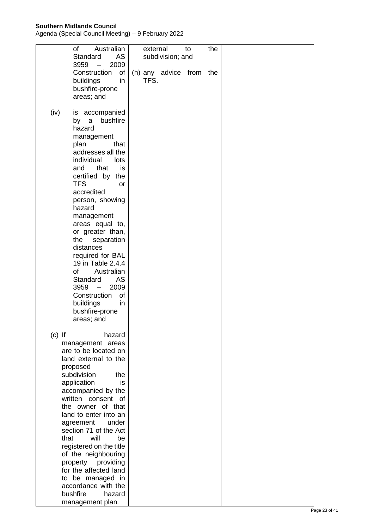**Southern Midlands Council**

Agenda (Special Council Meeting) – 9 February 2022

| of<br>Standard<br>$3959 -$                                                                                                                                                                                                                                                                                                                                                                                                                         | Australian<br>AS<br>2009                                                                                         | external | subdivision; and        | to | the |
|----------------------------------------------------------------------------------------------------------------------------------------------------------------------------------------------------------------------------------------------------------------------------------------------------------------------------------------------------------------------------------------------------------------------------------------------------|------------------------------------------------------------------------------------------------------------------|----------|-------------------------|----|-----|
| Construction<br>buildings<br>bushfire-prone<br>areas; and                                                                                                                                                                                                                                                                                                                                                                                          | of<br>in                                                                                                         | TFS.     | (h) any advice from the |    |     |
| (iv)<br>is accompanied<br>by a<br>hazard<br>management<br>plan<br>addresses all the<br>individual<br>and<br>certified by<br><b>TFS</b><br>accredited<br>person, showing<br>hazard<br>management<br>areas equal to,<br>or greater than,<br>the<br>distances<br>required for BAL<br>19 in Table 2.4.4<br><b>of</b><br>Standard<br>$3959 -$<br>Construction<br>buildings<br>bushfire-prone<br>areas; and                                              | bushfire<br>that<br>lots<br>that<br>is<br>the<br><b>or</b><br>separation<br>Australian<br>AS<br>2009<br>of<br>in |          |                         |    |     |
| $(c)$ If<br>management areas<br>are to be located on<br>land external to the<br>proposed<br>subdivision<br>application<br>accompanied by the<br>written consent of<br>the owner of that<br>land to enter into an<br>agreement<br>section 71 of the Act<br>will<br>that<br>registered on the title<br>of the neighbouring<br>property providing<br>for the affected land<br>to be managed in<br>accordance with the<br>bushfire<br>management plan. | hazard<br>the<br>is.<br>under<br>be<br>hazard                                                                    |          |                         |    |     |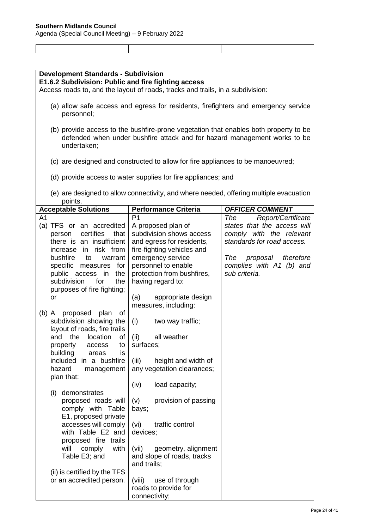| <b>Development Standards - Subdivision</b>                                                                                                                                       |                                                                                        |                                                          |  |  |
|----------------------------------------------------------------------------------------------------------------------------------------------------------------------------------|----------------------------------------------------------------------------------------|----------------------------------------------------------|--|--|
| E1.6.2 Subdivision: Public and fire fighting access                                                                                                                              |                                                                                        |                                                          |  |  |
| Access roads to, and the layout of roads, tracks and trails, in a subdivision:                                                                                                   |                                                                                        |                                                          |  |  |
| personnel;                                                                                                                                                                       | (a) allow safe access and egress for residents, firefighters and emergency service     |                                                          |  |  |
|                                                                                                                                                                                  |                                                                                        |                                                          |  |  |
| (b) provide access to the bushfire-prone vegetation that enables both property to be<br>defended when under bushfire attack and for hazard management works to be<br>undertaken; |                                                                                        |                                                          |  |  |
|                                                                                                                                                                                  | (c) are designed and constructed to allow for fire appliances to be manoeuvred;        |                                                          |  |  |
|                                                                                                                                                                                  | (d) provide access to water supplies for fire appliances; and                          |                                                          |  |  |
| points.                                                                                                                                                                          | (e) are designed to allow connectivity, and where needed, offering multiple evacuation |                                                          |  |  |
| <b>Acceptable Solutions</b>                                                                                                                                                      | <b>Performance Criteria</b>                                                            | <b>OFFICER COMMENT</b>                                   |  |  |
| A <sub>1</sub>                                                                                                                                                                   | P <sub>1</sub>                                                                         | Report/Certificate<br>The                                |  |  |
| (a) TFS or an accredited                                                                                                                                                         | A proposed plan of                                                                     | states that the access will                              |  |  |
| certifies<br>that<br>person                                                                                                                                                      | subdivision shows access                                                               | comply with the relevant                                 |  |  |
| there is an insufficient                                                                                                                                                         | and egress for residents,                                                              | standards for road access.                               |  |  |
| risk from<br>increase in<br>bushfire                                                                                                                                             | fire-fighting vehicles and                                                             |                                                          |  |  |
| warrant<br>to<br>specific measures<br>for                                                                                                                                        | emergency service<br>personnel to enable                                               | The<br>proposal<br>therefore<br>complies with A1 (b) and |  |  |
| the<br>public access<br>in                                                                                                                                                       | protection from bushfires,                                                             | sub criteria.                                            |  |  |
| subdivision<br>for<br>the                                                                                                                                                        | having regard to:                                                                      |                                                          |  |  |
| purposes of fire fighting;                                                                                                                                                       |                                                                                        |                                                          |  |  |
| or                                                                                                                                                                               | (a)<br>appropriate design                                                              |                                                          |  |  |
|                                                                                                                                                                                  | measures, including:                                                                   |                                                          |  |  |
| (b) A proposed plan<br>of                                                                                                                                                        |                                                                                        |                                                          |  |  |
| subdivision showing the                                                                                                                                                          | (i)<br>two way traffic;                                                                |                                                          |  |  |
| layout of roads, fire trails<br>and<br>the<br>location<br>of                                                                                                                     | all weather                                                                            |                                                          |  |  |
| property<br>access<br>to                                                                                                                                                         | (ii)<br>surfaces;                                                                      |                                                          |  |  |
| building<br>areas<br>is                                                                                                                                                          |                                                                                        |                                                          |  |  |
| included in a bushfire                                                                                                                                                           | (iii)<br>height and width of                                                           |                                                          |  |  |
| hazard<br>management                                                                                                                                                             | any vegetation clearances;                                                             |                                                          |  |  |
| plan that:                                                                                                                                                                       |                                                                                        |                                                          |  |  |
|                                                                                                                                                                                  | load capacity;<br>(iv)                                                                 |                                                          |  |  |
| demonstrates<br>(i)                                                                                                                                                              |                                                                                        |                                                          |  |  |
| proposed roads will                                                                                                                                                              | provision of passing<br>(v)                                                            |                                                          |  |  |
| comply with Table                                                                                                                                                                | bays;                                                                                  |                                                          |  |  |
| E1, proposed private<br>accesses will comply                                                                                                                                     | traffic control<br>(vi)                                                                |                                                          |  |  |
| with Table E2 and                                                                                                                                                                | devices;                                                                               |                                                          |  |  |
| proposed fire trails                                                                                                                                                             |                                                                                        |                                                          |  |  |
| will<br>with<br>comply                                                                                                                                                           | (vii)<br>geometry, alignment                                                           |                                                          |  |  |
| Table E3; and                                                                                                                                                                    | and slope of roads, tracks                                                             |                                                          |  |  |
|                                                                                                                                                                                  | and trails;                                                                            |                                                          |  |  |
| (ii) is certified by the TFS                                                                                                                                                     |                                                                                        |                                                          |  |  |
| or an accredited person.                                                                                                                                                         | (viii)<br>use of through                                                               |                                                          |  |  |
|                                                                                                                                                                                  | roads to provide for                                                                   |                                                          |  |  |
|                                                                                                                                                                                  | connectivity;                                                                          |                                                          |  |  |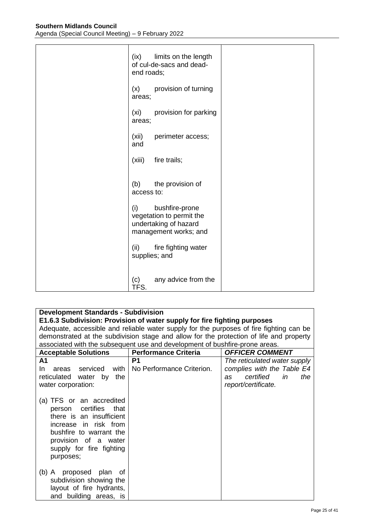| limits on the length<br>(ix)<br>of cul-de-sacs and dead-<br>end roads;                              |  |
|-----------------------------------------------------------------------------------------------------|--|
| provision of turning<br>(x)<br>areas;                                                               |  |
| provision for parking<br>(xi)<br>areas;                                                             |  |
| (xii)<br>perimeter access;<br>and                                                                   |  |
| (xiii)<br>fire trails;                                                                              |  |
| (b)<br>the provision of<br>access to:                                                               |  |
| (i)<br>bushfire-prone<br>vegetation to permit the<br>undertaking of hazard<br>management works; and |  |
| (ii)<br>fire fighting water<br>supplies; and                                                        |  |
| any advice from the<br>(c)<br>TFS.                                                                  |  |

| <b>Development Standards - Subdivision</b>                                                                                                                                                            |                                                                                         |                                                                                         |
|-------------------------------------------------------------------------------------------------------------------------------------------------------------------------------------------------------|-----------------------------------------------------------------------------------------|-----------------------------------------------------------------------------------------|
|                                                                                                                                                                                                       | E1.6.3 Subdivision: Provision of water supply for fire fighting purposes                |                                                                                         |
|                                                                                                                                                                                                       | Adequate, accessible and reliable water supply for the purposes of fire fighting can be |                                                                                         |
|                                                                                                                                                                                                       |                                                                                         | demonstrated at the subdivision stage and allow for the protection of life and property |
|                                                                                                                                                                                                       | associated with the subsequent use and development of bushfire-prone areas.             |                                                                                         |
| <b>Acceptable Solutions</b>                                                                                                                                                                           | <b>Performance Criteria</b>                                                             | <b>OFFICER COMMENT</b>                                                                  |
| A <sub>1</sub>                                                                                                                                                                                        | P1                                                                                      | The reticulated water supply                                                            |
| In.<br>areas serviced with                                                                                                                                                                            | No Performance Criterion.                                                               | complies with the Table E4                                                              |
| the<br>reticulated water<br>by                                                                                                                                                                        |                                                                                         | certified<br>the<br>in<br>as                                                            |
| water corporation:                                                                                                                                                                                    |                                                                                         | report/certificate.                                                                     |
|                                                                                                                                                                                                       |                                                                                         |                                                                                         |
| (a) TFS or an accredited<br>person certifies<br>that<br>there is an insufficient<br>increase in risk from<br>bushfire to warrant the<br>provision of a water<br>supply for fire fighting<br>purposes; |                                                                                         |                                                                                         |
| (b) A proposed plan<br>οf<br>subdivision showing the<br>layout of fire hydrants,<br>and building areas, is                                                                                            |                                                                                         |                                                                                         |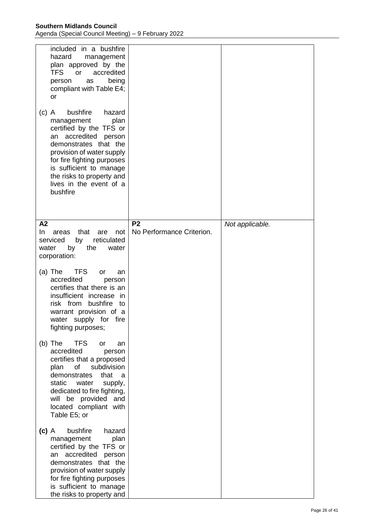| included in a bushfire<br>hazard<br>management<br>plan approved by the<br><b>TFS</b><br><b>or</b><br>accredited<br>being<br>person<br>as<br>compliant with Table E4;<br>or<br>bushfire<br>hazard<br>$(c)$ A<br>management<br>plan<br>certified by the TFS or<br>an accredited person<br>demonstrates that the<br>provision of water supply<br>for fire fighting purposes<br>is sufficient to manage<br>the risks to property and |                                             |                 |
|----------------------------------------------------------------------------------------------------------------------------------------------------------------------------------------------------------------------------------------------------------------------------------------------------------------------------------------------------------------------------------------------------------------------------------|---------------------------------------------|-----------------|
| lives in the event of a<br>bushfire                                                                                                                                                                                                                                                                                                                                                                                              |                                             |                 |
| A2<br>In<br>that<br>areas<br>are<br>not<br>reticulated<br>serviced<br>by<br>by<br>the<br>water<br>water<br>corporation:                                                                                                                                                                                                                                                                                                          | P <sub>2</sub><br>No Performance Criterion. | Not applicable. |
| <b>TFS</b><br>$(a)$ The<br>or<br>an<br>accredited<br>person<br>certifies that there is an<br>insufficient increase in<br>risk from bushfire to<br>warrant provision of a<br>water supply for fire<br>fighting purposes;                                                                                                                                                                                                          |                                             |                 |
| <b>TFS</b><br>$(b)$ The<br>or<br>an<br>accredited<br>person<br>certifies that a proposed<br>plan<br>of<br>subdivision<br>demonstrates<br>that<br>-a<br>static<br>water<br>supply,<br>dedicated to fire fighting,<br>will be provided and<br>located compliant with<br>Table E5; or                                                                                                                                               |                                             |                 |
| bushfire<br>hazard<br>$(c)$ A<br>plan<br>management<br>certified by the TFS or<br>accredited<br>person<br>an<br>demonstrates that the<br>provision of water supply<br>for fire fighting purposes<br>is sufficient to manage<br>the risks to property and                                                                                                                                                                         |                                             |                 |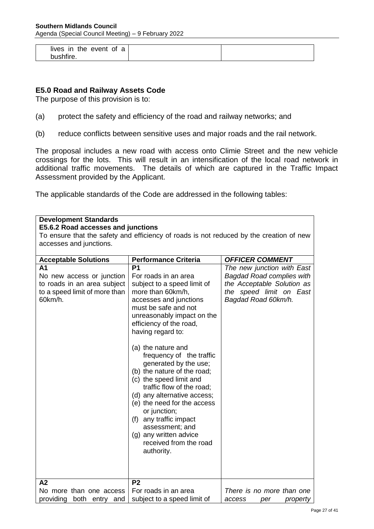| lives in the event of a |  |
|-------------------------|--|
| bushfire.               |  |

## **E5.0 Road and Railway Assets Code**

The purpose of this provision is to:

- (a) protect the safety and efficiency of the road and railway networks; and
- (b) reduce conflicts between sensitive uses and major roads and the rail network.

The proposal includes a new road with access onto Climie Street and the new vehicle crossings for the lots. This will result in an intensification of the local road network in additional traffic movements. The details of which are captured in the Traffic Impact Assessment provided by the Applicant.

The applicable standards of the Code are addressed in the following tables:

| <b>Development Standards</b>                                                                                           |                                                                                                                                                                                                                                                                                                                                                                                                                                                                                                                                                                                           |                                                                                                                                                |  |
|------------------------------------------------------------------------------------------------------------------------|-------------------------------------------------------------------------------------------------------------------------------------------------------------------------------------------------------------------------------------------------------------------------------------------------------------------------------------------------------------------------------------------------------------------------------------------------------------------------------------------------------------------------------------------------------------------------------------------|------------------------------------------------------------------------------------------------------------------------------------------------|--|
| E5.6.2 Road accesses and junctions                                                                                     |                                                                                                                                                                                                                                                                                                                                                                                                                                                                                                                                                                                           |                                                                                                                                                |  |
|                                                                                                                        | To ensure that the safety and efficiency of roads is not reduced by the creation of new                                                                                                                                                                                                                                                                                                                                                                                                                                                                                                   |                                                                                                                                                |  |
| accesses and junctions.                                                                                                |                                                                                                                                                                                                                                                                                                                                                                                                                                                                                                                                                                                           |                                                                                                                                                |  |
|                                                                                                                        |                                                                                                                                                                                                                                                                                                                                                                                                                                                                                                                                                                                           |                                                                                                                                                |  |
| <b>Acceptable Solutions</b>                                                                                            | <b>Performance Criteria</b>                                                                                                                                                                                                                                                                                                                                                                                                                                                                                                                                                               | <b>OFFICER COMMENT</b>                                                                                                                         |  |
| A <sub>1</sub><br>No new access or junction<br>to roads in an area subject<br>to a speed limit of more than<br>60km/h. | P <sub>1</sub><br>For roads in an area<br>subject to a speed limit of<br>more than 60km/h,<br>accesses and junctions<br>must be safe and not<br>unreasonably impact on the<br>efficiency of the road,<br>having regard to:<br>(a) the nature and<br>frequency of the traffic<br>generated by the use;<br>(b) the nature of the road;<br>(c) the speed limit and<br>traffic flow of the road;<br>(d) any alternative access;<br>(e) the need for the access<br>or junction;<br>(f) any traffic impact<br>assessment; and<br>(g) any written advice<br>received from the road<br>authority. | The new junction with East<br><b>Bagdad Road complies with</b><br>the Acceptable Solution as<br>the speed limit on East<br>Bagdad Road 60km/h. |  |
| A2<br>No more than one access<br>providing<br>both entry<br>and                                                        | P <sub>2</sub><br>For roads in an area<br>subject to a speed limit of                                                                                                                                                                                                                                                                                                                                                                                                                                                                                                                     | There is no more than one<br>access<br>per<br>property                                                                                         |  |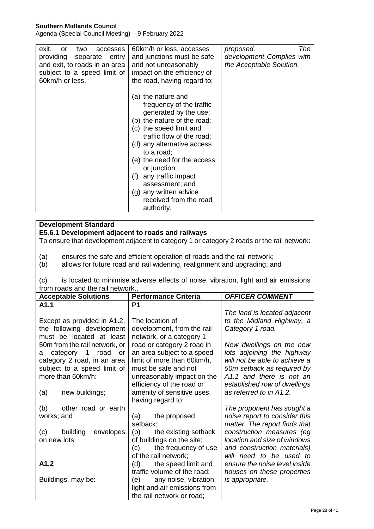**Southern Midlands Council**

Agenda (Special Council Meeting) – 9 February 2022

| exit,<br>two<br>accesses<br>or<br>providing<br>separate entry<br>and exit, to roads in an area<br>subject to a speed limit of<br>60km/h or less. | 60km/h or less, accesses<br>and junctions must be safe<br>and not unreasonably<br>impact on the efficiency of<br>the road, having regard to:                                                                                                                                                                                                                                | The<br>proposed.<br>development Complies with<br>the Acceptable Solution. |
|--------------------------------------------------------------------------------------------------------------------------------------------------|-----------------------------------------------------------------------------------------------------------------------------------------------------------------------------------------------------------------------------------------------------------------------------------------------------------------------------------------------------------------------------|---------------------------------------------------------------------------|
|                                                                                                                                                  | (a) the nature and<br>frequency of the traffic<br>generated by the use;<br>(b) the nature of the road;<br>(c) the speed limit and<br>traffic flow of the road;<br>(d) any alternative access<br>to a road;<br>(e) the need for the access<br>or junction;<br>any traffic impact<br>(f)<br>assessment; and<br>(g) any written advice<br>received from the road<br>authority. |                                                                           |

#### **Development Standard**

#### **E5.6.1 Development adjacent to roads and railways**

To ensure that development adjacent to category 1 or category 2 roads or the rail network:

(a) ensures the safe and efficient operation of roads and the rail network;

(b) allows for future road and rail widening, realignment and upgrading; and

(c) is located to minimise adverse effects of noise, vibration, light and air emissions from roads and the rail network..

| <b>Acceptable Solutions</b>                                                                                                                      | <b>Performance Criteria</b>                                                                                                                                               | <b>OFFICER COMMENT</b>                                                                                                                                                            |
|--------------------------------------------------------------------------------------------------------------------------------------------------|---------------------------------------------------------------------------------------------------------------------------------------------------------------------------|-----------------------------------------------------------------------------------------------------------------------------------------------------------------------------------|
| A1.1                                                                                                                                             | P1                                                                                                                                                                        |                                                                                                                                                                                   |
| Except as provided in A1.2,<br>the following development<br>must be located at least                                                             | The location of<br>development, from the rail<br>network, or a category 1                                                                                                 | The land is located adjacent<br>to the Midland Highway, a<br>Category 1 road.                                                                                                     |
| 50m from the rail network, or<br>category 1 road<br>or o<br>а<br>category 2 road, in an area<br>subject to a speed limit of<br>more than 60km/h: | road or category 2 road in<br>an area subject to a speed<br>limit of more than 60km/h,<br>must be safe and not<br>unreasonably impact on the<br>efficiency of the road or | New dwellings on the new<br>lots adjoining the highway<br>will not be able to achieve a<br>50m setback as required by<br>A1.1 and there is not an<br>established row of dwellings |
| new buildings;<br>(a)                                                                                                                            | amenity of sensitive uses,<br>having regard to:                                                                                                                           | as referred to in A1.2.                                                                                                                                                           |
| (b)<br>other road or earth<br>works; and                                                                                                         | the proposed<br>(a)<br>setback;                                                                                                                                           | The proponent has sought a<br>noise report to consider this<br>matter. The report finds that                                                                                      |
| (c)<br>building<br>envelopes<br>on new lots.                                                                                                     | the existing setback<br>(b)<br>of buildings on the site;<br>the frequency of use<br>(c)<br>of the rail network;                                                           | construction measures (eg<br>location and size of windows<br>and construction materials)<br>will need to be used to                                                               |
| A1.2                                                                                                                                             | the speed limit and<br>(d)<br>traffic volume of the road;                                                                                                                 | ensure the noise level inside<br>houses on these properties                                                                                                                       |
| Buildings, may be:                                                                                                                               | any noise, vibration,<br>light and air emissions from<br>the rail network or road;                                                                                        | is appropriate.                                                                                                                                                                   |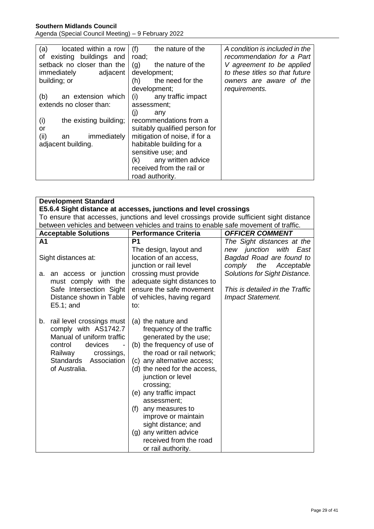## **Southern Midlands Council** Agenda (Special Council Meeting) – 9 February 2022

| (a)<br>located within a row<br>of existing buildings and | (f)<br>the nature of the<br>road; | A condition is included in the<br>recommendation for a Part |
|----------------------------------------------------------|-----------------------------------|-------------------------------------------------------------|
| setback no closer than the                               | (g)<br>the nature of the          | V agreement to be applied                                   |
| immediately<br>adjacent                                  | development;                      | to these titles so that future                              |
| building; or                                             | the need for the<br>(h)           | owners are aware of the                                     |
|                                                          | development;                      | requirements.                                               |
| (b)<br>an extension which                                | any traffic impact<br>(i)         |                                                             |
| extends no closer than:                                  | assessment;                       |                                                             |
|                                                          | (i)<br>any                        |                                                             |
| (i)<br>the existing building;                            | recommendations from a            |                                                             |
| or                                                       | suitably qualified person for     |                                                             |
| (ii)<br>immediately<br>an                                | mitigation of noise, if for a     |                                                             |
| adjacent building.                                       | habitable building for a          |                                                             |
|                                                          | sensitive use; and                |                                                             |
|                                                          | any written advice<br>(k)         |                                                             |
|                                                          | received from the rail or         |                                                             |
|                                                          | road authority.                   |                                                             |

| <b>Development Standard</b>                                                                                                                                                   |                                                                                                                                                                                                                                                                                                                                                                                                                              |                                                                                      |  |
|-------------------------------------------------------------------------------------------------------------------------------------------------------------------------------|------------------------------------------------------------------------------------------------------------------------------------------------------------------------------------------------------------------------------------------------------------------------------------------------------------------------------------------------------------------------------------------------------------------------------|--------------------------------------------------------------------------------------|--|
| E5.6.4 Sight distance at accesses, junctions and level crossings                                                                                                              |                                                                                                                                                                                                                                                                                                                                                                                                                              |                                                                                      |  |
| To ensure that accesses, junctions and level crossings provide sufficient sight distance                                                                                      |                                                                                                                                                                                                                                                                                                                                                                                                                              |                                                                                      |  |
| between vehicles and between vehicles and trains to enable safe movement of traffic.                                                                                          |                                                                                                                                                                                                                                                                                                                                                                                                                              |                                                                                      |  |
| <b>Acceptable Solutions</b>                                                                                                                                                   | <b>Performance Criteria</b>                                                                                                                                                                                                                                                                                                                                                                                                  | <b>OFFICER COMMENT</b>                                                               |  |
| A <sub>1</sub>                                                                                                                                                                | P <sub>1</sub>                                                                                                                                                                                                                                                                                                                                                                                                               | The Sight distances at the                                                           |  |
| Sight distances at:                                                                                                                                                           | The design, layout and<br>location of an access,<br>junction or rail level                                                                                                                                                                                                                                                                                                                                                   | new junction<br>with East<br>Bagdad Road are found to<br>the<br>comply<br>Acceptable |  |
| a. an access or junction<br>must comply with the                                                                                                                              | crossing must provide<br>adequate sight distances to<br>ensure the safe movement                                                                                                                                                                                                                                                                                                                                             | Solutions for Sight Distance.<br>This is detailed in the Traffic                     |  |
| Safe Intersection Sight<br>Distance shown in Table<br>$E5.1$ ; and                                                                                                            | of vehicles, having regard<br>to:                                                                                                                                                                                                                                                                                                                                                                                            | <b>Impact Statement.</b>                                                             |  |
| rail level crossings must<br>b.<br>comply with AS1742.7<br>Manual of uniform traffic<br>control<br>devices<br>Railway<br>crossings,<br>Standards Association<br>of Australia. | (a) the nature and<br>frequency of the traffic<br>generated by the use;<br>(b) the frequency of use of<br>the road or rail network;<br>(c) any alternative access;<br>(d) the need for the access,<br>junction or level<br>crossing;<br>(e) any traffic impact<br>assessment;<br>(f) any measures to<br>improve or maintain<br>sight distance; and<br>(g) any written advice<br>received from the road<br>or rail authority. |                                                                                      |  |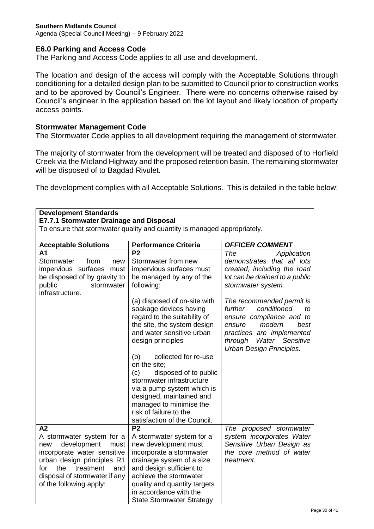## **E6.0 Parking and Access Code**

The Parking and Access Code applies to all use and development.

The location and design of the access will comply with the Acceptable Solutions through conditioning for a detailed design plan to be submitted to Council prior to construction works and to be approved by Council's Engineer. There were no concerns otherwise raised by Council's engineer in the application based on the lot layout and likely location of property access points.

## **Stormwater Management Code**

The Stormwater Code applies to all development requiring the management of stormwater.

The majority of stormwater from the development will be treated and disposed of to Horfield Creek via the Midland Highway and the proposed retention basin. The remaining stormwater will be disposed of to Bagdad Rivulet.

The development complies with all Acceptable Solutions. This is detailed in the table below:

| <b>Development Standards</b>                                                                                                                            |                                                                                                                                                                                                                                                                                                                                                                                                                                    |                                                                                                                                                                                                          |  |
|---------------------------------------------------------------------------------------------------------------------------------------------------------|------------------------------------------------------------------------------------------------------------------------------------------------------------------------------------------------------------------------------------------------------------------------------------------------------------------------------------------------------------------------------------------------------------------------------------|----------------------------------------------------------------------------------------------------------------------------------------------------------------------------------------------------------|--|
| E7.7.1 Stormwater Drainage and Disposal<br>To ensure that stormwater quality and quantity is managed appropriately.                                     |                                                                                                                                                                                                                                                                                                                                                                                                                                    |                                                                                                                                                                                                          |  |
|                                                                                                                                                         |                                                                                                                                                                                                                                                                                                                                                                                                                                    |                                                                                                                                                                                                          |  |
| <b>Acceptable Solutions</b>                                                                                                                             | <b>Performance Criteria</b>                                                                                                                                                                                                                                                                                                                                                                                                        | <b>OFFICER COMMENT</b>                                                                                                                                                                                   |  |
| A <sub>1</sub><br>Stormwater<br>from<br>new<br>impervious surfaces must<br>be disposed of by gravity to<br>stormwater<br>public<br>infrastructure.      | P <sub>2</sub><br>Stormwater from new<br>impervious surfaces must<br>be managed by any of the<br>following:                                                                                                                                                                                                                                                                                                                        | <b>The</b><br>Application<br>demonstrates that all lots<br>created, including the road<br>lot can be drained to a public<br>stormwater system.                                                           |  |
|                                                                                                                                                         | (a) disposed of on-site with<br>soakage devices having<br>regard to the suitability of<br>the site, the system design<br>and water sensitive urban<br>design principles<br>collected for re-use<br>(b)<br>on the site;<br>disposed of to public<br>(c)<br>stormwater infrastructure<br>via a pump system which is<br>designed, maintained and<br>managed to minimise the<br>risk of failure to the<br>satisfaction of the Council. | The recommended permit is<br>further<br>conditioned<br>to<br>ensure compliance and to<br>modern<br>best<br>ensure<br>practices are implemented<br>Water Sensitive<br>through<br>Urban Design Principles. |  |
| A2                                                                                                                                                      | P <sub>2</sub>                                                                                                                                                                                                                                                                                                                                                                                                                     | The proposed stormwater                                                                                                                                                                                  |  |
| A stormwater system for a<br>development<br>new<br>must                                                                                                 | A stormwater system for a<br>new development must                                                                                                                                                                                                                                                                                                                                                                                  | system incorporates Water<br>Sensitive Urban Design as                                                                                                                                                   |  |
| incorporate water sensitive<br>urban design principles R1<br>for<br>the<br>treatment<br>and<br>disposal of stormwater if any<br>of the following apply: | incorporate a stormwater<br>drainage system of a size<br>and design sufficient to<br>achieve the stormwater<br>quality and quantity targets<br>in accordance with the<br><b>State Stormwater Strategy</b>                                                                                                                                                                                                                          | the core method of water<br>treatment.                                                                                                                                                                   |  |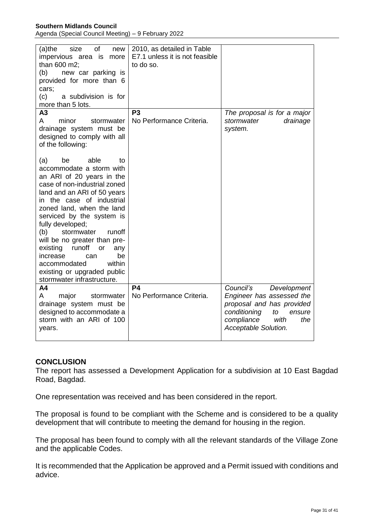| of<br>$(a)$ the<br>size<br>new<br>impervious area is more<br>than 600 m2;<br>(b)<br>new car parking is<br>provided for more than 6<br>cars;<br>(c)<br>a subdivision is for<br>more than 5 lots.                                                                                                                                                                                                                                                                                                                                                                                               | 2010, as detailed in Table<br>E7.1 unless it is not feasible<br>to do so. |                                                                                                                                                                         |
|-----------------------------------------------------------------------------------------------------------------------------------------------------------------------------------------------------------------------------------------------------------------------------------------------------------------------------------------------------------------------------------------------------------------------------------------------------------------------------------------------------------------------------------------------------------------------------------------------|---------------------------------------------------------------------------|-------------------------------------------------------------------------------------------------------------------------------------------------------------------------|
| A3<br>A<br>minor<br>stormwater<br>drainage system must be<br>designed to comply with all<br>of the following:<br>able<br>(a)<br>be<br>to<br>accommodate a storm with<br>an ARI of 20 years in the<br>case of non-industrial zoned<br>land and an ARI of 50 years<br>in the case of industrial<br>zoned land, when the land<br>serviced by the system is<br>fully developed;<br>(b)<br>stormwater<br>runoff<br>will be no greater than pre-<br>runoff<br>existing<br>or<br>any<br>be<br>increase<br>can<br>within<br>accommodated<br>existing or upgraded public<br>stormwater infrastructure. | P <sub>3</sub><br>No Performance Criteria.                                | The proposal is for a major<br>drainage<br>stormwater<br>system.                                                                                                        |
| A4<br>major<br>A<br>stormwater<br>drainage system must be<br>designed to accommodate a<br>storm with an ARI of 100<br>years.                                                                                                                                                                                                                                                                                                                                                                                                                                                                  | <b>P4</b><br>No Performance Criteria.                                     | Council's<br>Development<br>Engineer has assessed the<br>proposal and has provided<br>conditioning<br>to<br>ensure<br>compliance<br>the<br>with<br>Acceptable Solution. |

## **CONCLUSION**

The report has assessed a Development Application for a subdivision at 10 East Bagdad Road, Bagdad.

One representation was received and has been considered in the report.

The proposal is found to be compliant with the Scheme and is considered to be a quality development that will contribute to meeting the demand for housing in the region.

The proposal has been found to comply with all the relevant standards of the Village Zone and the applicable Codes.

It is recommended that the Application be approved and a Permit issued with conditions and advice.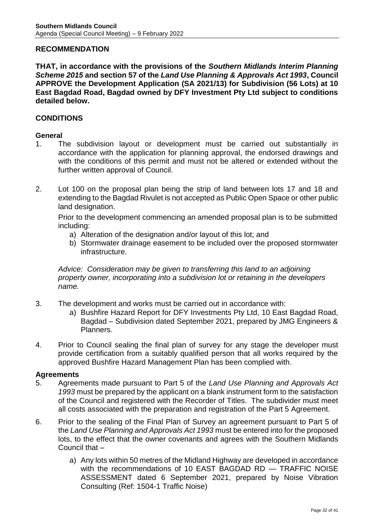## **RECOMMENDATION**

**THAT, in accordance with the provisions of the** *Southern Midlands Interim Planning Scheme 2015* **and section 57 of the** *Land Use Planning & Approvals Act 1993***, Council APPROVE the Development Application (SA 2021/13) for Subdivision (56 Lots) at 10 East Bagdad Road, Bagdad owned by DFY Investment Pty Ltd subject to conditions detailed below.**

## **CONDITIONS**

#### **General**

- 1. The subdivision layout or development must be carried out substantially in accordance with the application for planning approval, the endorsed drawings and with the conditions of this permit and must not be altered or extended without the further written approval of Council.
- 2. Lot 100 on the proposal plan being the strip of land between lots 17 and 18 and extending to the Bagdad Rivulet is not accepted as Public Open Space or other public land designation.

Prior to the development commencing an amended proposal plan is to be submitted including:

- a) Alteration of the designation and/or layout of this lot; and
- b) Stormwater drainage easement to be included over the proposed stormwater infrastructure.

*Advice: Consideration may be given to transferring this land to an adjoining property owner, incorporating into a subdivision lot or retaining in the developers name.*

- 3. The development and works must be carried out in accordance with:
	- a) Bushfire Hazard Report for DFY Investments Pty Ltd, 10 East Bagdad Road, Bagdad – Subdivision dated September 2021, prepared by JMG Engineers & Planners.
- 4. Prior to Council sealing the final plan of survey for any stage the developer must provide certification from a suitably qualified person that all works required by the approved Bushfire Hazard Management Plan has been complied with.

## **Agreements**

- 5. Agreements made pursuant to Part 5 of the *Land Use Planning and Approvals Act 1993* must be prepared by the applicant on a blank instrument form to the satisfaction of the Council and registered with the Recorder of Titles. The subdivider must meet all costs associated with the preparation and registration of the Part 5 Agreement.
- 6. Prior to the sealing of the Final Plan of Survey an agreement pursuant to Part 5 of the *Land Use Planning and Approvals Act 1993* must be entered into for the proposed lots, to the effect that the owner covenants and agrees with the Southern Midlands Council that –
	- a) Any lots within 50 metres of the Midland Highway are developed in accordance with the recommendations of 10 EAST BAGDAD RD — TRAFFIC NOISE ASSESSMENT dated 6 September 2021, prepared by Noise Vibration Consulting (Ref: 1504-1 Traffic Noise)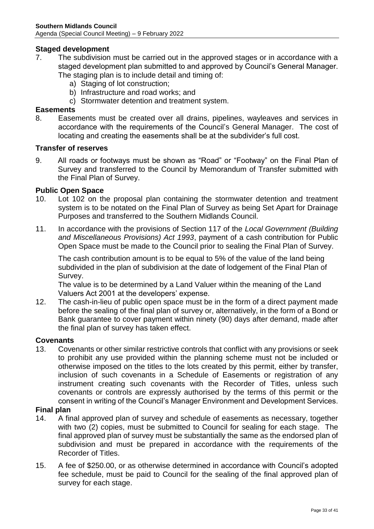## **Staged development**

- 7. The subdivision must be carried out in the approved stages or in accordance with a staged development plan submitted to and approved by Council's General Manager.
	- The staging plan is to include detail and timing of:
		- a) Staging of lot construction;
		- b) Infrastructure and road works; and
		- c) Stormwater detention and treatment system.

## **Easements**

8. Easements must be created over all drains, pipelines, wayleaves and services in accordance with the requirements of the Council's General Manager. The cost of locating and creating the easements shall be at the subdivider's full cost.

#### **Transfer of reserves**

9. All roads or footways must be shown as "Road" or "Footway" on the Final Plan of Survey and transferred to the Council by Memorandum of Transfer submitted with the Final Plan of Survey.

## **Public Open Space**

- 10. Lot 102 on the proposal plan containing the stormwater detention and treatment system is to be notated on the Final Plan of Survey as being Set Apart for Drainage Purposes and transferred to the Southern Midlands Council.
- 11. In accordance with the provisions of Section 117 of the *Local Government (Building and Miscellaneous Provisions) Act 1993*, payment of a cash contribution for Public Open Space must be made to the Council prior to sealing the Final Plan of Survey.

The cash contribution amount is to be equal to 5% of the value of the land being subdivided in the plan of subdivision at the date of lodgement of the Final Plan of Survey.

The value is to be determined by a Land Valuer within the meaning of the Land Valuers Act 2001 at the developers' expense.

12. The cash-in-lieu of public open space must be in the form of a direct payment made before the sealing of the final plan of survey or, alternatively, in the form of a Bond or Bank guarantee to cover payment within ninety (90) days after demand, made after the final plan of survey has taken effect.

#### **Covenants**

13. Covenants or other similar restrictive controls that conflict with any provisions or seek to prohibit any use provided within the planning scheme must not be included or otherwise imposed on the titles to the lots created by this permit, either by transfer, inclusion of such covenants in a Schedule of Easements or registration of any instrument creating such covenants with the Recorder of Titles, unless such covenants or controls are expressly authorised by the terms of this permit or the consent in writing of the Council's Manager Environment and Development Services.

#### **Final plan**

- 14. A final approved plan of survey and schedule of easements as necessary, together with two (2) copies, must be submitted to Council for sealing for each stage. The final approved plan of survey must be substantially the same as the endorsed plan of subdivision and must be prepared in accordance with the requirements of the Recorder of Titles.
- 15. A fee of \$250.00, or as otherwise determined in accordance with Council's adopted fee schedule, must be paid to Council for the sealing of the final approved plan of survey for each stage.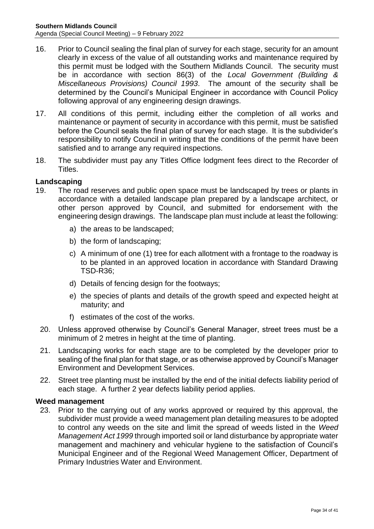- 16. Prior to Council sealing the final plan of survey for each stage, security for an amount clearly in excess of the value of all outstanding works and maintenance required by this permit must be lodged with the Southern Midlands Council. The security must be in accordance with section 86(3) of the *Local Government (Building & Miscellaneous Provisions) Council 1993*. The amount of the security shall be determined by the Council's Municipal Engineer in accordance with Council Policy following approval of any engineering design drawings.
- 17. All conditions of this permit, including either the completion of all works and maintenance or payment of security in accordance with this permit, must be satisfied before the Council seals the final plan of survey for each stage. It is the subdivider's responsibility to notify Council in writing that the conditions of the permit have been satisfied and to arrange any required inspections.
- 18. The subdivider must pay any Titles Office lodgment fees direct to the Recorder of Titles.

## **Landscaping**

- 19. The road reserves and public open space must be landscaped by trees or plants in accordance with a detailed landscape plan prepared by a landscape architect, or other person approved by Council, and submitted for endorsement with the engineering design drawings. The landscape plan must include at least the following:
	- a) the areas to be landscaped;
	- b) the form of landscaping;
	- c) A minimum of one (1) tree for each allotment with a frontage to the roadway is to be planted in an approved location in accordance with Standard Drawing TSD-R36;
	- d) Details of fencing design for the footways;
	- e) the species of plants and details of the growth speed and expected height at maturity; and
	- f) estimates of the cost of the works.
- 20. Unless approved otherwise by Council's General Manager, street trees must be a minimum of 2 metres in height at the time of planting.
- 21. Landscaping works for each stage are to be completed by the developer prior to sealing of the final plan for that stage, or as otherwise approved by Council's Manager Environment and Development Services.
- 22. Street tree planting must be installed by the end of the initial defects liability period of each stage. A further 2 year defects liability period applies.

## **Weed management**

23. Prior to the carrying out of any works approved or required by this approval, the subdivider must provide a weed management plan detailing measures to be adopted to control any weeds on the site and limit the spread of weeds listed in the *Weed Management Act 1999* through imported soil or land disturbance by appropriate water management and machinery and vehicular hygiene to the satisfaction of Council's Municipal Engineer and of the Regional Weed Management Officer, Department of Primary Industries Water and Environment.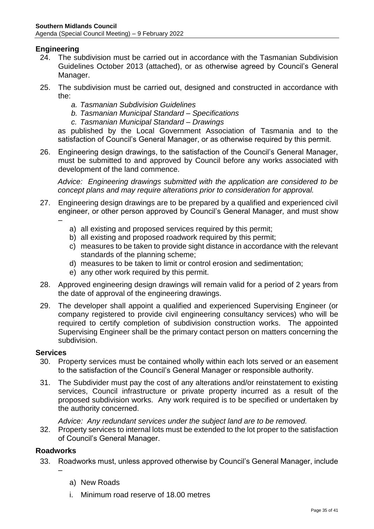## **Engineering**

- 24. The subdivision must be carried out in accordance with the Tasmanian Subdivision Guidelines October 2013 (attached), or as otherwise agreed by Council's General Manager.
- 25. The subdivision must be carried out, designed and constructed in accordance with the:
	- *a. Tasmanian Subdivision Guidelines*
	- *b. Tasmanian Municipal Standard – Specifications*
	- *c. Tasmanian Municipal Standard – Drawings*

as published by the Local Government Association of Tasmania and to the satisfaction of Council's General Manager, or as otherwise required by this permit.

26. Engineering design drawings, to the satisfaction of the Council's General Manager, must be submitted to and approved by Council before any works associated with development of the land commence.

*Advice: Engineering drawings submitted with the application are considered to be concept plans and may require alterations prior to consideration for approval.*

- 27. Engineering design drawings are to be prepared by a qualified and experienced civil engineer, or other person approved by Council's General Manager*,* and must show –
	- a) all existing and proposed services required by this permit;
	- b) all existing and proposed roadwork required by this permit:
	- c) measures to be taken to provide sight distance in accordance with the relevant standards of the planning scheme;
	- d) measures to be taken to limit or control erosion and sedimentation;
	- e) any other work required by this permit.
- 28. Approved engineering design drawings will remain valid for a period of 2 years from the date of approval of the engineering drawings.
- 29. The developer shall appoint a qualified and experienced Supervising Engineer (or company registered to provide civil engineering consultancy services) who will be required to certify completion of subdivision construction works. The appointed Supervising Engineer shall be the primary contact person on matters concerning the subdivision.

#### **Services**

- 30. Property services must be contained wholly within each lots served or an easement to the satisfaction of the Council's General Manager or responsible authority.
- 31. The Subdivider must pay the cost of any alterations and/or reinstatement to existing services, Council infrastructure or private property incurred as a result of the proposed subdivision works. Any work required is to be specified or undertaken by the authority concerned.

*Advice: Any redundant services under the subject land are to be removed.*

32. Property services to internal lots must be extended to the lot proper to the satisfaction of Council's General Manager.

## **Roadworks**

–

- 33. Roadworks must, unless approved otherwise by Council's General Manager, include
	- a) New Roads
	- i. Minimum road reserve of 18.00 metres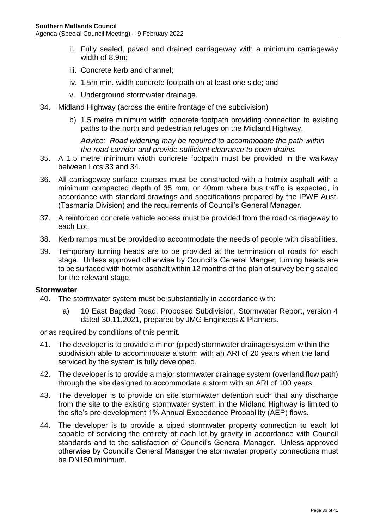- ii. Fully sealed, paved and drained carriageway with a minimum carriageway width of 8.9m;
- iii. Concrete kerb and channel;
- iv. 1.5m min. width concrete footpath on at least one side; and
- v. Underground stormwater drainage.
- 34. Midland Highway (across the entire frontage of the subdivision)
	- b) 1.5 metre minimum width concrete footpath providing connection to existing paths to the north and pedestrian refuges on the Midland Highway.

*Advice: Road widening may be required to accommodate the path within the road corridor and provide sufficient clearance to open drains.*

- 35. A 1.5 metre minimum width concrete footpath must be provided in the walkway between Lots 33 and 34.
- 36. All carriageway surface courses must be constructed with a hotmix asphalt with a minimum compacted depth of 35 mm, or 40mm where bus traffic is expected, in accordance with standard drawings and specifications prepared by the IPWE Aust. (Tasmania Division) and the requirements of Council's General Manager.
- 37. A reinforced concrete vehicle access must be provided from the road carriageway to each Lot.
- 38. Kerb ramps must be provided to accommodate the needs of people with disabilities.
- 39. Temporary turning heads are to be provided at the termination of roads for each stage. Unless approved otherwise by Council's General Manger, turning heads are to be surfaced with hotmix asphalt within 12 months of the plan of survey being sealed for the relevant stage.

#### **Stormwater**

- 40. The stormwater system must be substantially in accordance with:
	- a) 10 East Bagdad Road, Proposed Subdivision, Stormwater Report, version 4 dated 30.11.2021, prepared by JMG Engineers & Planners.

or as required by conditions of this permit.

- 41. The developer is to provide a minor (piped) stormwater drainage system within the subdivision able to accommodate a storm with an ARI of 20 years when the land serviced by the system is fully developed.
- 42. The developer is to provide a major stormwater drainage system (overland flow path) through the site designed to accommodate a storm with an ARI of 100 years.
- 43. The developer is to provide on site stormwater detention such that any discharge from the site to the existing stormwater system in the Midland Highway is limited to the site's pre development 1% Annual Exceedance Probability (AEP) flows.
- 44. The developer is to provide a piped stormwater property connection to each lot capable of servicing the entirety of each lot by gravity in accordance with Council standards and to the satisfaction of Council's General Manager. Unless approved otherwise by Council's General Manager the stormwater property connections must be DN150 minimum.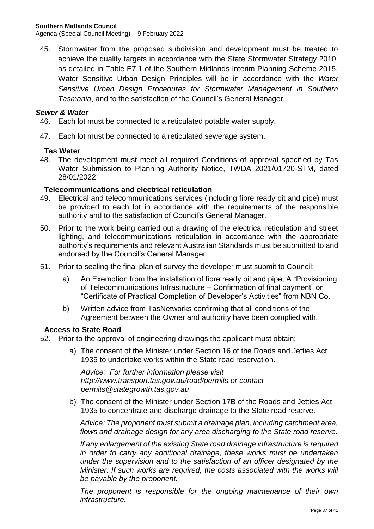45. Stormwater from the proposed subdivision and development must be treated to achieve the quality targets in accordance with the State Stormwater Strategy 2010, as detailed in Table E7.1 of the Southern Midlands Interim Planning Scheme 2015. Water Sensitive Urban Design Principles will be in accordance with the *Water Sensitive Urban Design Procedures for Stormwater Management in Southern Tasmania*, and to the satisfaction of the Council's General Manager.

## *Sewer & Water*

- 46. Each lot must be connected to a reticulated potable water supply.
- 47. Each lot must be connected to a reticulated sewerage system.

## **Tas Water**

48. The development must meet all required Conditions of approval specified by Tas Water Submission to Planning Authority Notice, TWDA 2021/01720-STM, dated 28/01/2022.

## **Telecommunications and electrical reticulation**

- 49. Electrical and telecommunications services (including fibre ready pit and pipe) must be provided to each lot in accordance with the requirements of the responsible authority and to the satisfaction of Council's General Manager.
- 50. Prior to the work being carried out a drawing of the electrical reticulation and street lighting, and telecommunications reticulation in accordance with the appropriate authority's requirements and relevant Australian Standards must be submitted to and endorsed by the Council's General Manager.
- 51. Prior to sealing the final plan of survey the developer must submit to Council:
	- a) An Exemption from the installation of fibre ready pit and pipe, A "Provisioning of Telecommunications Infrastructure – Confirmation of final payment" or "Certificate of Practical Completion of Developer's Activities" from NBN Co.
	- b) Written advice from TasNetworks confirming that all conditions of the Agreement between the Owner and authority have been complied with.

#### **Access to State Road**

- 52. Prior to the approval of engineering drawings the applicant must obtain:
	- a) The consent of the Minister under Section 16 of the Roads and Jetties Act 1935 to undertake works within the State road reservation.

*Advice: For further information please visit http://www.transport.tas.gov.au/road/permits or contact permits@stategrowth.tas.gov.au* 

b) The consent of the Minister under Section 17B of the Roads and Jetties Act 1935 to concentrate and discharge drainage to the State road reserve.

*Advice: The proponent must submit a drainage plan, including catchment area, flows and drainage design for any area discharging to the State road reserve.* 

*If any enlargement of the existing State road drainage infrastructure is required in order to carry any additional drainage, these works must be undertaken under the supervision and to the satisfaction of an officer designated by the Minister. If such works are required, the costs associated with the works will be payable by the proponent.* 

*The proponent is responsible for the ongoing maintenance of their own infrastructure.*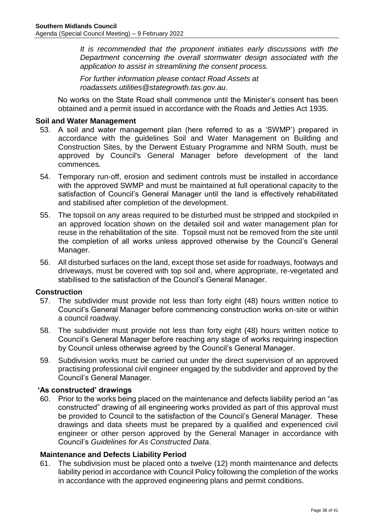*It is recommended that the proponent initiates early discussions with the Department concerning the overall stormwater design associated with the application to assist in streamlining the consent process.* 

*For further information please contact Road Assets at roadassets.utilities@stategrowth.tas.gov.au.*

No works on the State Road shall commence until the Minister's consent has been obtained and a permit issued in accordance with the Roads and Jetties Act 1935.

## **Soil and Water Management**

- 53. A soil and water management plan (here referred to as a 'SWMP') prepared in accordance with the guidelines Soil and Water Management on Building and Construction Sites, by the Derwent Estuary Programme and NRM South, must be approved by Council's General Manager before development of the land commences.
- 54. Temporary run-off, erosion and sediment controls must be installed in accordance with the approved SWMP and must be maintained at full operational capacity to the satisfaction of Council's General Manager until the land is effectively rehabilitated and stabilised after completion of the development.
- 55. The topsoil on any areas required to be disturbed must be stripped and stockpiled in an approved location shown on the detailed soil and water management plan for reuse in the rehabilitation of the site. Topsoil must not be removed from the site until the completion of all works unless approved otherwise by the Council's General Manager.
- 56. All disturbed surfaces on the land, except those set aside for roadways, footways and driveways, must be covered with top soil and, where appropriate, re-vegetated and stabilised to the satisfaction of the Council's General Manager.

#### **Construction**

- 57. The subdivider must provide not less than forty eight (48) hours written notice to Council's General Manager before commencing construction works on-site or within a council roadway.
- 58. The subdivider must provide not less than forty eight (48) hours written notice to Council's General Manager before reaching any stage of works requiring inspection by Council unless otherwise agreed by the Council's General Manager.
- 59. Subdivision works must be carried out under the direct supervision of an approved practising professional civil engineer engaged by the subdivider and approved by the Council's General Manager.

## **'As constructed' drawings**

60. Prior to the works being placed on the maintenance and defects liability period an "as constructed" drawing of all engineering works provided as part of this approval must be provided to Council to the satisfaction of the Council's General Manager. These drawings and data sheets must be prepared by a qualified and experienced civil engineer or other person approved by the General Manager in accordance with Council's *Guidelines for As Constructed Data*.

#### **Maintenance and Defects Liability Period**

61. The subdivision must be placed onto a twelve (12) month maintenance and defects liability period in accordance with Council Policy following the completion of the works in accordance with the approved engineering plans and permit conditions.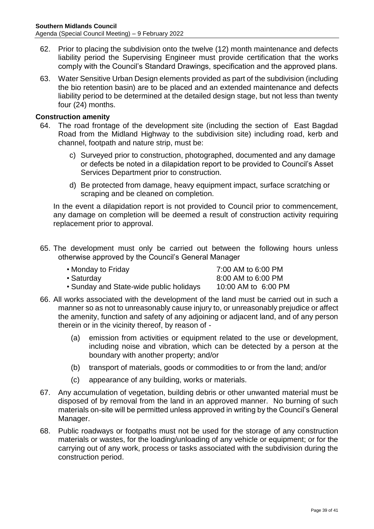- 62. Prior to placing the subdivision onto the twelve (12) month maintenance and defects liability period the Supervising Engineer must provide certification that the works comply with the Council's Standard Drawings, specification and the approved plans.
- 63. Water Sensitive Urban Design elements provided as part of the subdivision (including the bio retention basin) are to be placed and an extended maintenance and defects liability period to be determined at the detailed design stage, but not less than twenty four (24) months.

## **Construction amenity**

- 64. The road frontage of the development site (including the section of East Bagdad Road from the Midland Highway to the subdivision site) including road, kerb and channel, footpath and nature strip, must be:
	- c) Surveyed prior to construction, photographed, documented and any damage or defects be noted in a dilapidation report to be provided to Council's Asset Services Department prior to construction.
	- d) Be protected from damage, heavy equipment impact, surface scratching or scraping and be cleaned on completion.

In the event a dilapidation report is not provided to Council prior to commencement, any damage on completion will be deemed a result of construction activity requiring replacement prior to approval.

65. The development must only be carried out between the following hours unless otherwise approved by the Council's General Manager

| • Monday to Friday                      | 7:00 AM to 6:00 PM  |
|-----------------------------------------|---------------------|
| • Saturdav                              | 8:00 AM to 6:00 PM  |
| • Sunday and State-wide public holidays | 10:00 AM to 6:00 PM |

- 66. All works associated with the development of the land must be carried out in such a manner so as not to unreasonably cause injury to, or unreasonably prejudice or affect the amenity, function and safety of any adjoining or adjacent land, and of any person therein or in the vicinity thereof, by reason of -
	- (a) emission from activities or equipment related to the use or development, including noise and vibration, which can be detected by a person at the boundary with another property; and/or
	- (b) transport of materials, goods or commodities to or from the land; and/or
	- (c) appearance of any building, works or materials.
- 67. Any accumulation of vegetation, building debris or other unwanted material must be disposed of by removal from the land in an approved manner. No burning of such materials on-site will be permitted unless approved in writing by the Council's General Manager.
- 68. Public roadways or footpaths must not be used for the storage of any construction materials or wastes, for the loading/unloading of any vehicle or equipment; or for the carrying out of any work, process or tasks associated with the subdivision during the construction period.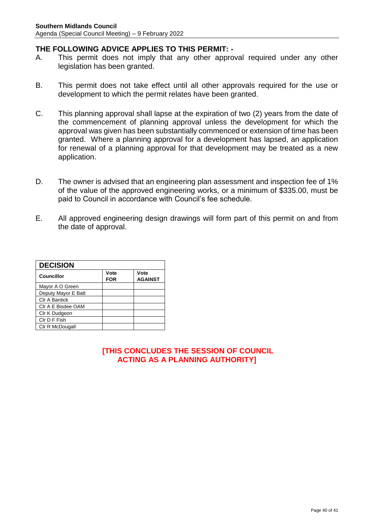## **THE FOLLOWING ADVICE APPLIES TO THIS PERMIT: -**

- A. This permit does not imply that any other approval required under any other legislation has been granted.
- B. This permit does not take effect until all other approvals required for the use or development to which the permit relates have been granted.
- C. This planning approval shall lapse at the expiration of two (2) years from the date of the commencement of planning approval unless the development for which the approval was given has been substantially commenced or extension of time has been granted. Where a planning approval for a development has lapsed, an application for renewal of a planning approval for that development may be treated as a new application.
- D. The owner is advised that an engineering plan assessment and inspection fee of 1% of the value of the approved engineering works, or a minimum of \$335.00, must be paid to Council in accordance with Council's fee schedule.
- E. All approved engineering design drawings will form part of this permit on and from the date of approval.

| <b>DECISION</b>      |                    |                        |  |
|----------------------|--------------------|------------------------|--|
| <b>Councillor</b>    | Vote<br><b>FOR</b> | Vote<br><b>AGAINST</b> |  |
| Mayor A O Green      |                    |                        |  |
| Deputy Mayor E Batt  |                    |                        |  |
| <b>CIr A Bantick</b> |                    |                        |  |
| CIr A E Bisdee OAM   |                    |                        |  |
| CIr K Dudgeon        |                    |                        |  |
| CIr D F Fish         |                    |                        |  |
| Clr R McDougall      |                    |                        |  |

## **[THIS CONCLUDES THE SESSION OF COUNCIL ACTING AS A PLANNING AUTHORITY]**